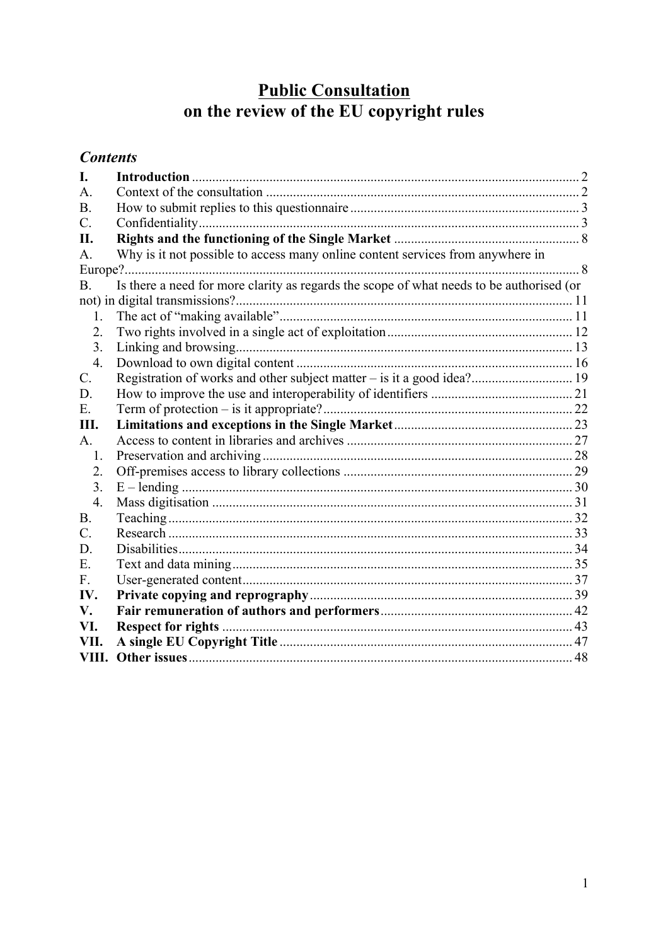# **Public Consultation**<br>on the review of the EU copyright rules

# **Contents**

| I.               |                                                                                          |  |
|------------------|------------------------------------------------------------------------------------------|--|
| $\mathbf{A}$ .   |                                                                                          |  |
| <b>B.</b>        |                                                                                          |  |
| $\mathcal{C}$ .  |                                                                                          |  |
| Π.               |                                                                                          |  |
| А.               | Why is it not possible to access many online content services from anywhere in           |  |
|                  |                                                                                          |  |
| <b>B.</b>        | Is there a need for more clarity as regards the scope of what needs to be authorised (or |  |
|                  |                                                                                          |  |
| 1.               |                                                                                          |  |
| 2.               |                                                                                          |  |
| 3.               |                                                                                          |  |
| $\overline{4}$ . |                                                                                          |  |
| $\mathcal{C}$ .  |                                                                                          |  |
| D.               |                                                                                          |  |
| $E$ .            |                                                                                          |  |
| Ш.               |                                                                                          |  |
| A.               |                                                                                          |  |
| $\mathbf{1}$ .   |                                                                                          |  |
| 2.               |                                                                                          |  |
| 3 <sub>1</sub>   |                                                                                          |  |
| $\overline{4}$ . |                                                                                          |  |
| <b>B.</b>        |                                                                                          |  |
| $\mathcal{C}$ .  |                                                                                          |  |
| D.               |                                                                                          |  |
| Ε.               |                                                                                          |  |
| F.               |                                                                                          |  |
| IV.              |                                                                                          |  |
| V.               |                                                                                          |  |
| VI.              |                                                                                          |  |
| VII.             |                                                                                          |  |
| VIII.            |                                                                                          |  |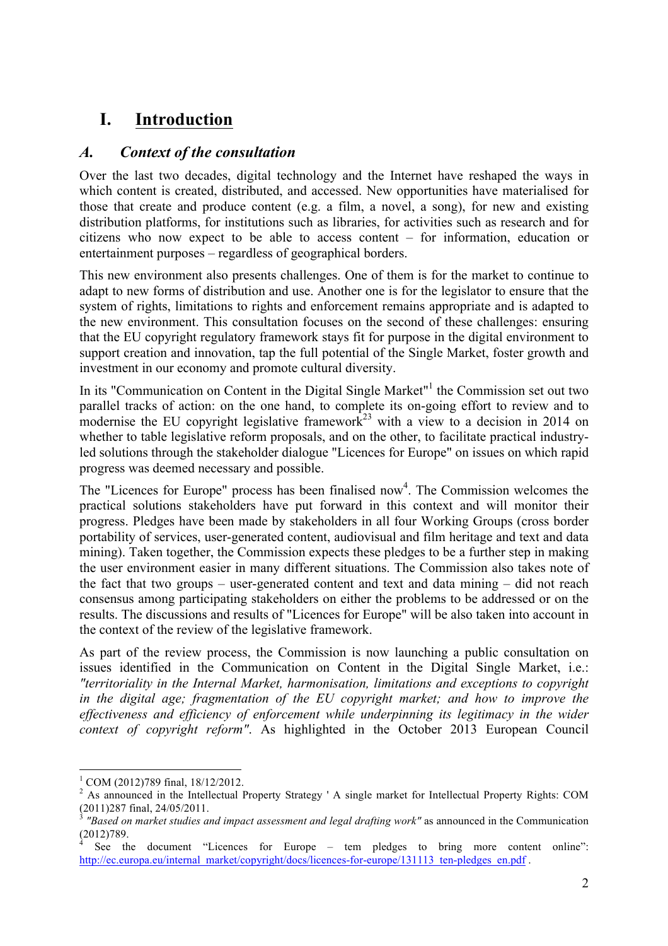# **I. Introduction**

## *A. Context of the consultation*

Over the last two decades, digital technology and the Internet have reshaped the ways in which content is created, distributed, and accessed. New opportunities have materialised for those that create and produce content (e.g. a film, a novel, a song), for new and existing distribution platforms, for institutions such as libraries, for activities such as research and for citizens who now expect to be able to access content – for information, education or entertainment purposes – regardless of geographical borders.

This new environment also presents challenges. One of them is for the market to continue to adapt to new forms of distribution and use. Another one is for the legislator to ensure that the system of rights, limitations to rights and enforcement remains appropriate and is adapted to the new environment. This consultation focuses on the second of these challenges: ensuring that the EU copyright regulatory framework stays fit for purpose in the digital environment to support creation and innovation, tap the full potential of the Single Market, foster growth and investment in our economy and promote cultural diversity.

In its "Communication on Content in the Digital Single Market"<sup>1</sup> the Commission set out two parallel tracks of action: on the one hand, to complete its on-going effort to review and to modernise the EU copyright legislative framework<sup>23</sup> with a view to a decision in 2014 on whether to table legislative reform proposals, and on the other, to facilitate practical industryled solutions through the stakeholder dialogue "Licences for Europe" on issues on which rapid progress was deemed necessary and possible.

The "Licences for Europe" process has been finalised now<sup>4</sup>. The Commission welcomes the practical solutions stakeholders have put forward in this context and will monitor their progress. Pledges have been made by stakeholders in all four Working Groups (cross border portability of services, user-generated content, audiovisual and film heritage and text and data mining). Taken together, the Commission expects these pledges to be a further step in making the user environment easier in many different situations. The Commission also takes note of the fact that two groups – user-generated content and text and data mining – did not reach consensus among participating stakeholders on either the problems to be addressed or on the results. The discussions and results of "Licences for Europe" will be also taken into account in the context of the review of the legislative framework.

As part of the review process, the Commission is now launching a public consultation on issues identified in the Communication on Content in the Digital Single Market, i.e.: *"territoriality in the Internal Market, harmonisation, limitations and exceptions to copyright in the digital age; fragmentation of the EU copyright market; and how to improve the effectiveness and efficiency of enforcement while underpinning its legitimacy in the wider context of copyright reform"*. As highlighted in the October 2013 European Council

 $\frac{1}{2}$  COM (2012)789 final, 18/12/2012.<br><sup>2</sup> As announced in the Intellectual Property Strategy ' A single market for Intellectual Property Rights: COM (2011)287 final, 24/05/2011.

<sup>3</sup> *"Based on market studies and impact assessment and legal drafting work"* as announced in the Communication (2012)789.

See the document "Licences for Europe – tem pledges to bring more content online": http://ec.europa.eu/internal\_market/copyright/docs/licences-for-europe/131113\_ten-pledges\_en.pdf .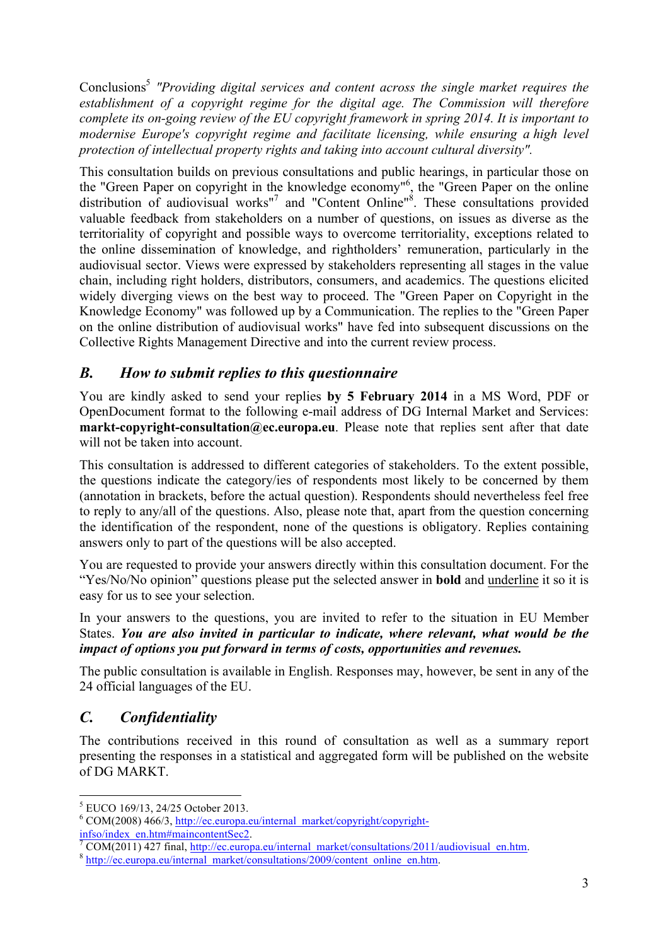Conclusions5 *"Providing digital services and content across the single market requires the establishment of a copyright regime for the digital age. The Commission will therefore complete its on-going review of the EU copyright framework in spring 2014. It is important to modernise Europe's copyright regime and facilitate licensing, while ensuring a high level protection of intellectual property rights and taking into account cultural diversity".*

This consultation builds on previous consultations and public hearings, in particular those on the "Green Paper on copyright in the knowledge economy" 6 , the "Green Paper on the online distribution of audiovisual works"<sup>7</sup> and "Content Online"<sup>8</sup>. These consultations provided valuable feedback from stakeholders on a number of questions, on issues as diverse as the territoriality of copyright and possible ways to overcome territoriality, exceptions related to the online dissemination of knowledge, and rightholders' remuneration, particularly in the audiovisual sector. Views were expressed by stakeholders representing all stages in the value chain, including right holders, distributors, consumers, and academics. The questions elicited widely diverging views on the best way to proceed. The "Green Paper on Copyright in the Knowledge Economy" was followed up by a Communication. The replies to the "Green Paper on the online distribution of audiovisual works" have fed into subsequent discussions on the Collective Rights Management Directive and into the current review process.

## *B. How to submit replies to this questionnaire*

You are kindly asked to send your replies **by 5 February 2014** in a MS Word, PDF or OpenDocument format to the following e-mail address of DG Internal Market and Services: **markt-copyright-consultation@ec.europa.eu**. Please note that replies sent after that date will not be taken into account.

This consultation is addressed to different categories of stakeholders. To the extent possible, the questions indicate the category/ies of respondents most likely to be concerned by them (annotation in brackets, before the actual question). Respondents should nevertheless feel free to reply to any/all of the questions. Also, please note that, apart from the question concerning the identification of the respondent, none of the questions is obligatory. Replies containing answers only to part of the questions will be also accepted.

You are requested to provide your answers directly within this consultation document. For the "Yes/No/No opinion" questions please put the selected answer in **bold** and underline it so it is easy for us to see your selection.

In your answers to the questions, you are invited to refer to the situation in EU Member States. *You are also invited in particular to indicate, where relevant, what would be the impact of options you put forward in terms of costs, opportunities and revenues.*

The public consultation is available in English. Responses may, however, be sent in any of the 24 official languages of the EU.

# *C. Confidentiality*

The contributions received in this round of consultation as well as a summary report presenting the responses in a statistical and aggregated form will be published on the website of DG MARKT.

 <sup>5</sup> EUCO 169/13, 24/25 October 2013.

 $6$  COM(2008) 466/3, http://ec.europa.eu/internal\_market/copyright/copyright-

infso/index\_en.htm#maincontentSec2.<br>
<sup>7</sup> COM(2011) 427 final, http://ec.europa.eu/internal\_market/consultations/2011/audiovisual\_en.htm. 8 http://ec.europa.eu/internal\_market/consultations/2009/content\_online\_en.htm.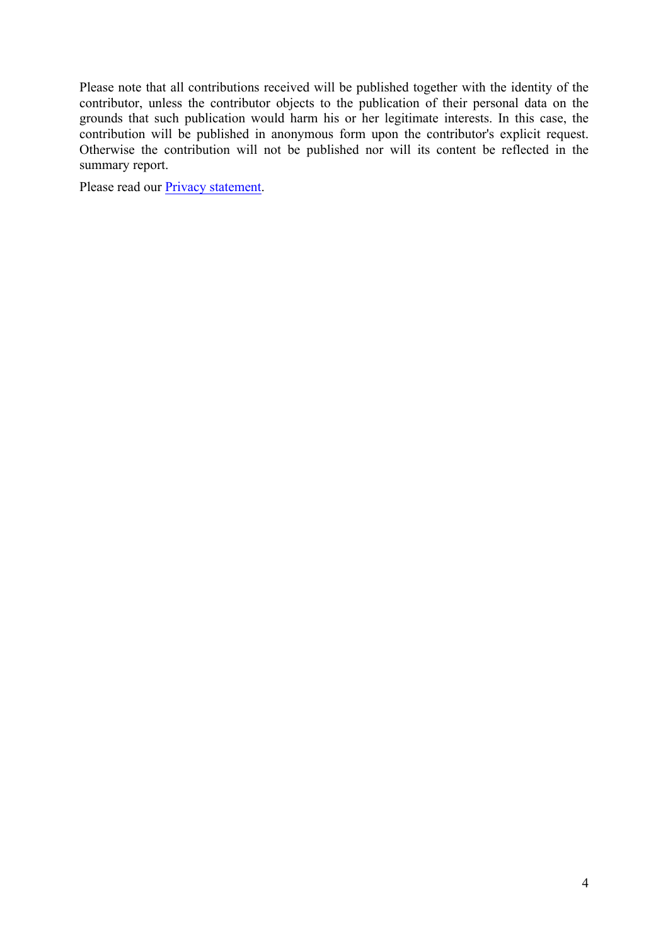Please note that all contributions received will be published together with the identity of the contributor, unless the contributor objects to the publication of their personal data on the grounds that such publication would harm his or her legitimate interests. In this case, the contribution will be published in anonymous form upon the contributor's explicit request. Otherwise the contribution will not be published nor will its content be reflected in the summary report.

Please read our **Privacy statement**.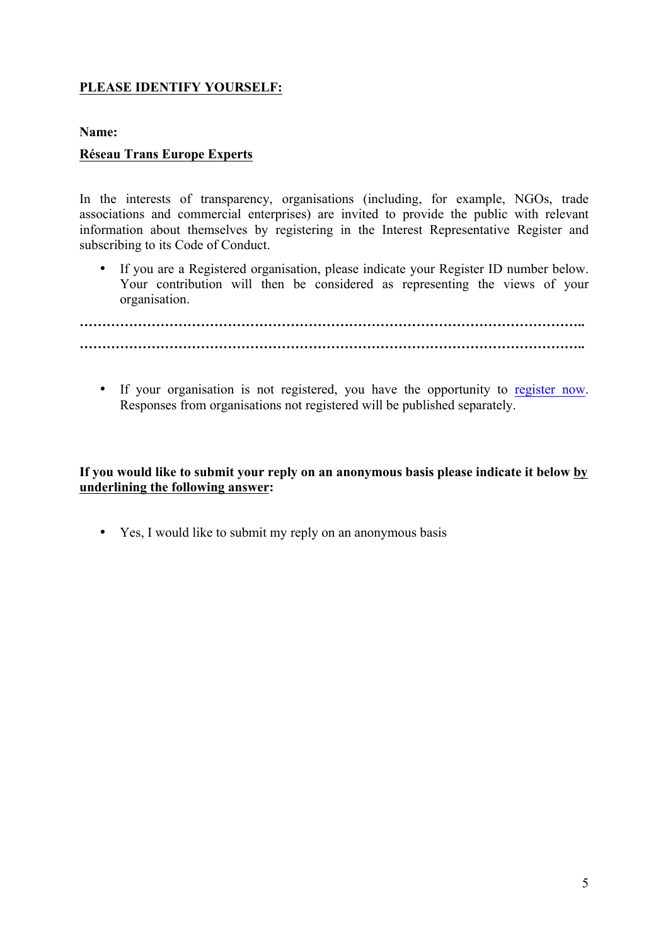#### **PLEASE IDENTIFY YOURSELF:**

#### **Name:**

#### **Réseau Trans Europe Experts**

In the interests of transparency, organisations (including, for example, NGOs, trade associations and commercial enterprises) are invited to provide the public with relevant information about themselves by registering in the Interest Representative Register and subscribing to its Code of Conduct.

• If you are a Registered organisation, please indicate your Register ID number below. Your contribution will then be considered as representing the views of your organisation.

**………………………………………………………………………………………………….. …………………………………………………………………………………………………..**

• If your organisation is not registered, you have the opportunity to register now. Responses from organisations not registered will be published separately.

**If you would like to submit your reply on an anonymous basis please indicate it below by underlining the following answer:**

• Yes, I would like to submit my reply on an anonymous basis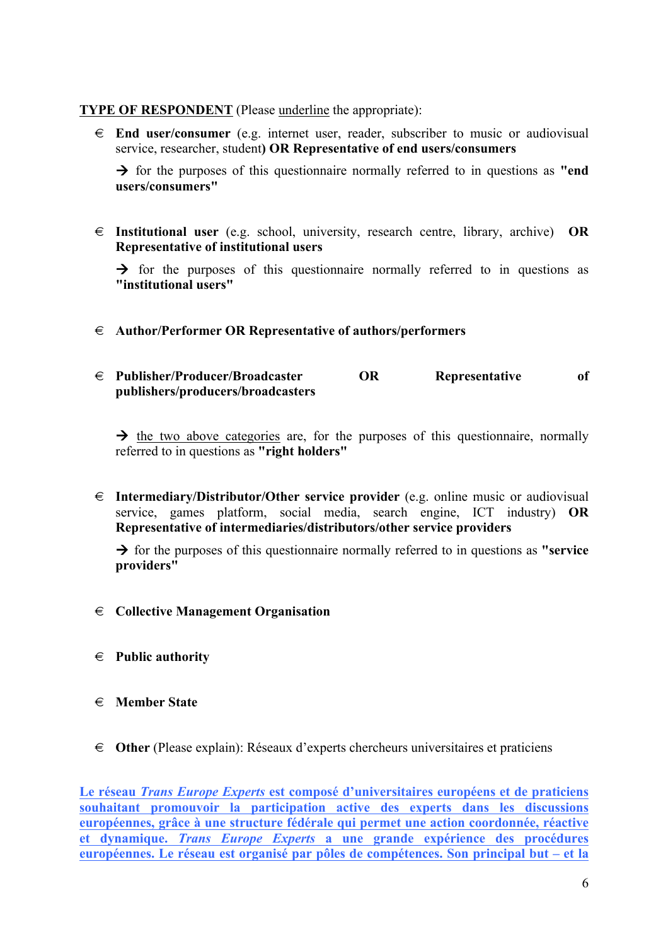#### **TYPE OF RESPONDENT** (Please underline the appropriate):

€ **End user/consumer** (e.g. internet user, reader, subscriber to music or audiovisual service, researcher, student**) OR Representative of end users/consumers**

 $\rightarrow$  for the purposes of this questionnaire normally referred to in questions as **"end**" **users/consumers"**

€ **Institutional user** (e.g. school, university, research centre, library, archive) **OR Representative of institutional users**

 $\rightarrow$  for the purposes of this questionnaire normally referred to in questions as **"institutional users"**

- € **Author/Performer OR Representative of authors/performers**
- € **Publisher/Producer/Broadcaster OR Representative of publishers/producers/broadcasters**

 $\rightarrow$  the two above categories are, for the purposes of this questionnaire, normally referred to in questions as **"right holders"**

€ **Intermediary/Distributor/Other service provider** (e.g. online music or audiovisual service, games platform, social media, search engine, ICT industry) **OR Representative of intermediaries/distributors/other service providers**

 $\rightarrow$  for the purposes of this questionnaire normally referred to in questions as **"service providers"**

- € **Collective Management Organisation**
- € **Public authority**
- € **Member State**
- € **Other** (Please explain): Réseaux d'experts chercheurs universitaires et praticiens

**Le réseau** *Trans Europe Experts* **est composé d'universitaires européens et de praticiens souhaitant promouvoir la participation active des experts dans les discussions européennes, grâce à une structure fédérale qui permet une action coordonnée, réactive et dynamique.** *Trans Europe Experts* **a une grande expérience des procédures européennes. Le réseau est organisé par pôles de compétences. Son principal but – et la**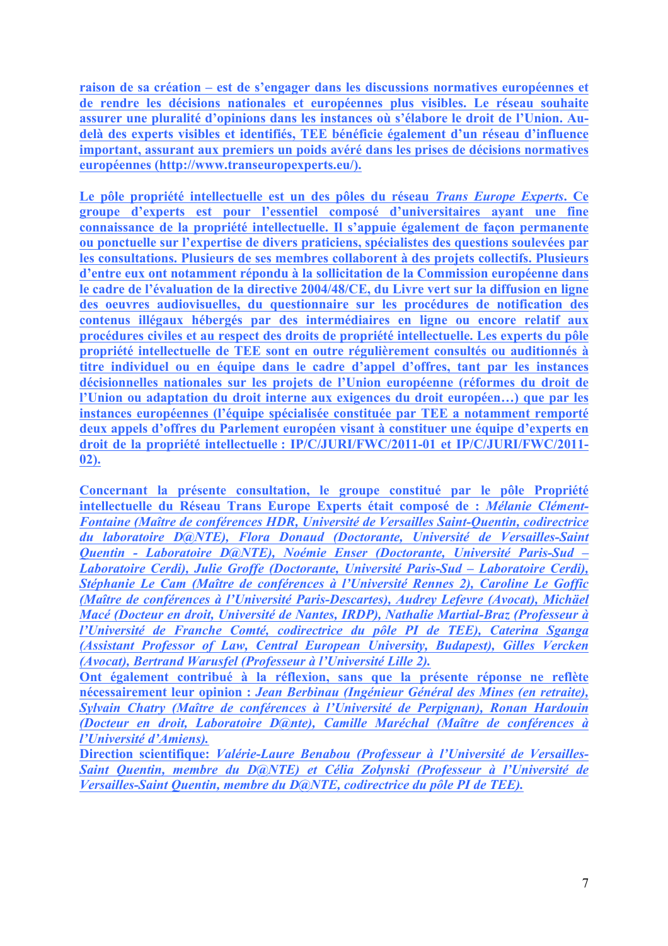**raison de sa création – est de s'engager dans les discussions normatives européennes et de rendre les décisions nationales et européennes plus visibles. Le réseau souhaite assurer une pluralité d'opinions dans les instances où s'élabore le droit de l'Union. Audelà des experts visibles et identifiés, TEE bénéficie également d'un réseau d'influence important, assurant aux premiers un poids avéré dans les prises de décisions normatives européennes (http://www.transeuropexperts.eu/).**

**Le pôle propriété intellectuelle est un des pôles du réseau** *Trans Europe Experts***. Ce groupe d'experts est pour l'essentiel composé d'universitaires ayant une fine connaissance de la propriété intellectuelle. Il s'appuie également de façon permanente ou ponctuelle sur l'expertise de divers praticiens, spécialistes des questions soulevées par les consultations. Plusieurs de ses membres collaborent à des projets collectifs. Plusieurs d'entre eux ont notamment répondu à la sollicitation de la Commission européenne dans le cadre de l'évaluation de la directive 2004/48/CE, du Livre vert sur la diffusion en ligne des oeuvres audiovisuelles, du questionnaire sur les procédures de notification des contenus illégaux hébergés par des intermédiaires en ligne ou encore relatif aux procédures civiles et au respect des droits de propriété intellectuelle. Les experts du pôle propriété intellectuelle de TEE sont en outre régulièrement consultés ou auditionnés à titre individuel ou en équipe dans le cadre d'appel d'offres, tant par les instances décisionnelles nationales sur les projets de l'Union européenne (réformes du droit de l'Union ou adaptation du droit interne aux exigences du droit européen…) que par les instances européennes (l'équipe spécialisée constituée par TEE a notamment remporté deux appels d'offres du Parlement européen visant à constituer une équipe d'experts en droit de la propriété intellectuelle : IP/C/JURI/FWC/2011-01 et IP/C/JURI/FWC/2011- 02).** 

**Concernant la présente consultation, le groupe constitué par le pôle Propriété intellectuelle du Réseau Trans Europe Experts était composé de :** *Mélanie Clément-Fontaine (Maître de conférences HDR, Université de Versailles Saint-Quentin, codirectrice du laboratoire D@NTE), Flora Donaud (Doctorante, Université de Versailles-Saint Quentin - Laboratoire D@NTE), Noémie Enser (Doctorante, Université Paris-Sud – Laboratoire Cerdi), Julie Groffe (Doctorante, Université Paris-Sud – Laboratoire Cerdi), Stéphanie Le Cam (Maître de conférences à l'Université Rennes 2), Caroline Le Goffic (Maître de conférences à l'Université Paris-Descartes), Audrey Lefevre (Avocat), Michäel Macé (Docteur en droit, Université de Nantes, IRDP), Nathalie Martial-Braz (Professeur à l'Université de Franche Comté, codirectrice du pôle PI de TEE), Caterina Sganga (Assistant Professor of Law, Central European University, Budapest), Gilles Vercken (Avocat), Bertrand Warusfel (Professeur à l'Université Lille 2).* 

**Ont également contribué à la réflexion, sans que la présente réponse ne reflète nécessairement leur opinion :** *Jean Berbinau (Ingénieur Général des Mines (en retraite), Sylvain Chatry (Maître de conférences à l'Université de Perpignan), Ronan Hardouin (Docteur en droit, Laboratoire D@nte), Camille Maréchal (Maître de conférences à l'Université d'Amiens).*

**Direction scientifique:** *Valérie-Laure Benabou (Professeur à l'Université de Versailles-Saint Quentin, membre du D@NTE) et Célia Zolynski (Professeur à l'Université de Versailles-Saint Quentin, membre du D@NTE, codirectrice du pôle PI de TEE).*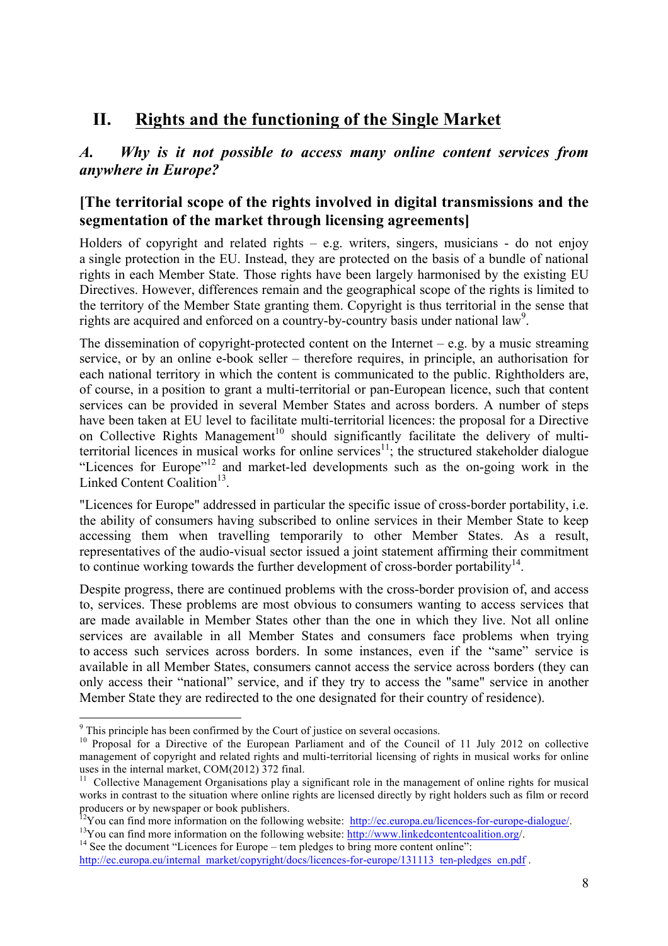# **II. Rights and the functioning of the Single Market**

## *A. Why is it not possible to access many online content services from anywhere in Europe?*

## **[The territorial scope of the rights involved in digital transmissions and the segmentation of the market through licensing agreements]**

Holders of copyright and related rights  $-$  e.g. writers, singers, musicians - do not enjoy a single protection in the EU. Instead, they are protected on the basis of a bundle of national rights in each Member State. Those rights have been largely harmonised by the existing EU Directives. However, differences remain and the geographical scope of the rights is limited to the territory of the Member State granting them. Copyright is thus territorial in the sense that rights are acquired and enforced on a country-by-country basis under national law<sup>9</sup>.

The dissemination of copyright-protected content on the Internet – e.g. by a music streaming service, or by an online e-book seller – therefore requires, in principle, an authorisation for each national territory in which the content is communicated to the public. Rightholders are, of course, in a position to grant a multi-territorial or pan-European licence, such that content services can be provided in several Member States and across borders. A number of steps have been taken at EU level to facilitate multi-territorial licences: the proposal for a Directive on Collective Rights Management<sup>10</sup> should significantly facilitate the delivery of multiterritorial licences in musical works for online services<sup>11</sup>; the structured stakeholder dialogue "Licences for Europe"<sup>12</sup> and market-led developments such as the on-going work in the Linked Content Coalition<sup>13</sup>.

"Licences for Europe" addressed in particular the specific issue of cross-border portability, i.e. the ability of consumers having subscribed to online services in their Member State to keep accessing them when travelling temporarily to other Member States. As a result, representatives of the audio-visual sector issued a joint statement affirming their commitment to continue working towards the further development of cross-border portability<sup>14</sup>.

Despite progress, there are continued problems with the cross-border provision of, and access to, services. These problems are most obvious to consumers wanting to access services that are made available in Member States other than the one in which they live. Not all online services are available in all Member States and consumers face problems when trying to access such services across borders. In some instances, even if the "same" service is available in all Member States, consumers cannot access the service across borders (they can only access their "national" service, and if they try to access the "same" service in another Member State they are redirected to the one designated for their country of residence).

<sup>&</sup>lt;sup>9</sup> This principle has been confirmed by the Court of justice on several occasions.

<sup>&</sup>lt;sup>10</sup> Proposal for a Directive of the European Parliament and of the Council of 11 July 2012 on collective management of copyright and related rights and multi-territorial licensing of rights in musical works for online uses in the internal market, COM(2012) 372 final.

 $11$  Collective Management Organisations play a significant role in the management of online rights for musical works in contrast to the situation where online rights are licensed directly by right holders such as film or record producers or by newspaper or book publishers.<br><sup>12</sup>You can find more information on the following website: <u>http://ec.europa.eu/licences-for-europe-dialogue/</u><br><sup>13</sup>You can find more information on the following website: <u>htt</u>

http://ec.europa.eu/internal\_market/copyright/docs/licences-for-europe/131113\_ten-pledges\_en.pdf .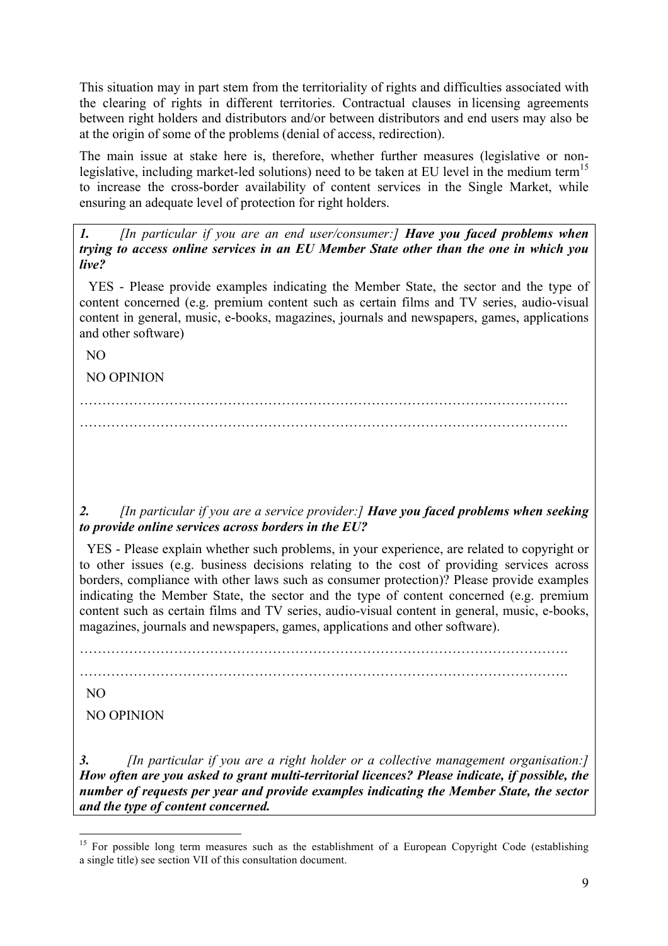This situation may in part stem from the territoriality of rights and difficulties associated with the clearing of rights in different territories. Contractual clauses in licensing agreements between right holders and distributors and/or between distributors and end users may also be at the origin of some of the problems (denial of access, redirection).

The main issue at stake here is, therefore, whether further measures (legislative or nonlegislative, including market-led solutions) need to be taken at EU level in the medium term<sup>15</sup> to increase the cross-border availability of content services in the Single Market, while ensuring an adequate level of protection for right holders.

*1. [In particular if you are an end user/consumer:] Have you faced problems when trying to access online services in an EU Member State other than the one in which you live?*

 YES - Please provide examples indicating the Member State, the sector and the type of content concerned (e.g. premium content such as certain films and TV series, audio-visual content in general, music, e-books, magazines, journals and newspapers, games, applications and other software)

NO

NO OPINION

………………………………………………………………………………………………. ……………………………………………………………………………………………….

#### *2. [In particular if you are a service provider:] Have you faced problems when seeking to provide online services across borders in the EU?*

 YES - Please explain whether such problems, in your experience, are related to copyright or to other issues (e.g. business decisions relating to the cost of providing services across borders, compliance with other laws such as consumer protection)? Please provide examples indicating the Member State, the sector and the type of content concerned (e.g. premium content such as certain films and TV series, audio-visual content in general, music, e-books, magazines, journals and newspapers, games, applications and other software).

……………………………………………………………………………………………….

……………………………………………………………………………………………….

NO

NO OPINION

*3. [In particular if you are a right holder or a collective management organisation:] How often are you asked to grant multi-territorial licences? Please indicate, if possible, the number of requests per year and provide examples indicating the Member State, the sector and the type of content concerned.* 

<sup>&</sup>lt;sup>15</sup> For possible long term measures such as the establishment of a European Copyright Code (establishing a single title) see section VII of this consultation document.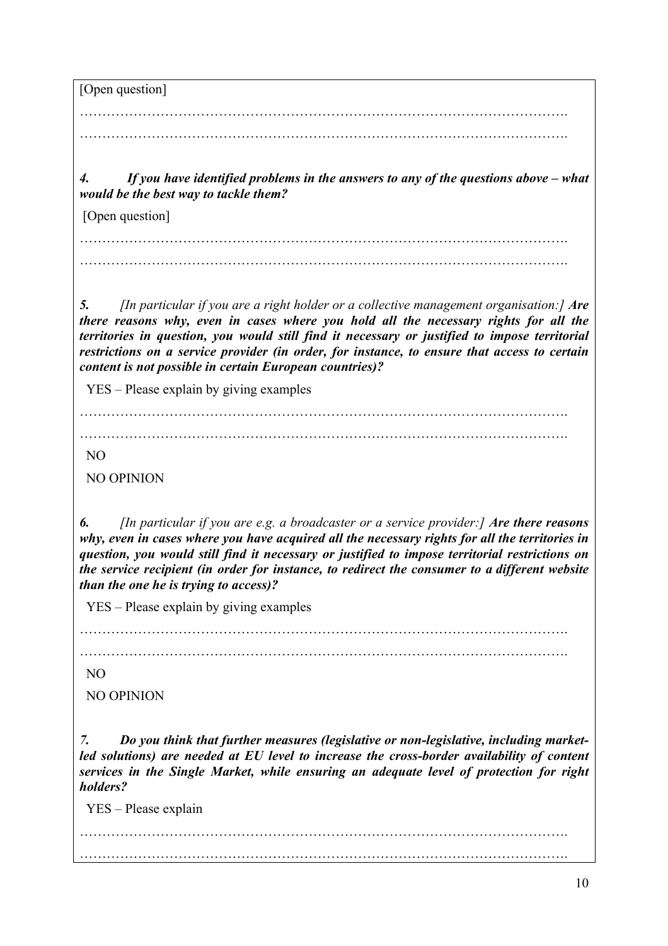[Open question] ………………………………………………………………………………………………. ……………………………………………………………………………………………….

*4. If you have identified problems in the answers to any of the questions above – what would be the best way to tackle them?*

[Open question]

………………………………………………………………………………………………. ……………………………………………………………………………………………….

*5. [In particular if you are a right holder or a collective management organisation:] Are there reasons why, even in cases where you hold all the necessary rights for all the territories in question, you would still find it necessary or justified to impose territorial restrictions on a service provider (in order, for instance, to ensure that access to certain content is not possible in certain European countries)?* 

YES – Please explain by giving examples

……………………………………………………………………………………………….

……………………………………………………………………………………………….

NO

NO OPINION

*6. [In particular if you are e.g. a broadcaster or a service provider:] Are there reasons why, even in cases where you have acquired all the necessary rights for all the territories in question, you would still find it necessary or justified to impose territorial restrictions on the service recipient (in order for instance, to redirect the consumer to a different website than the one he is trying to access)?*

YES – Please explain by giving examples

……………………………………………………………………………………………….

……………………………………………………………………………………………….

NO

NO OPINION

*7. Do you think that further measures (legislative or non-legislative, including marketled solutions) are needed at EU level to increase the cross-border availability of content services in the Single Market, while ensuring an adequate level of protection for right holders?*

YES – Please explain

………………………………………………………………………………………………. ……………………………………………………………………………………………….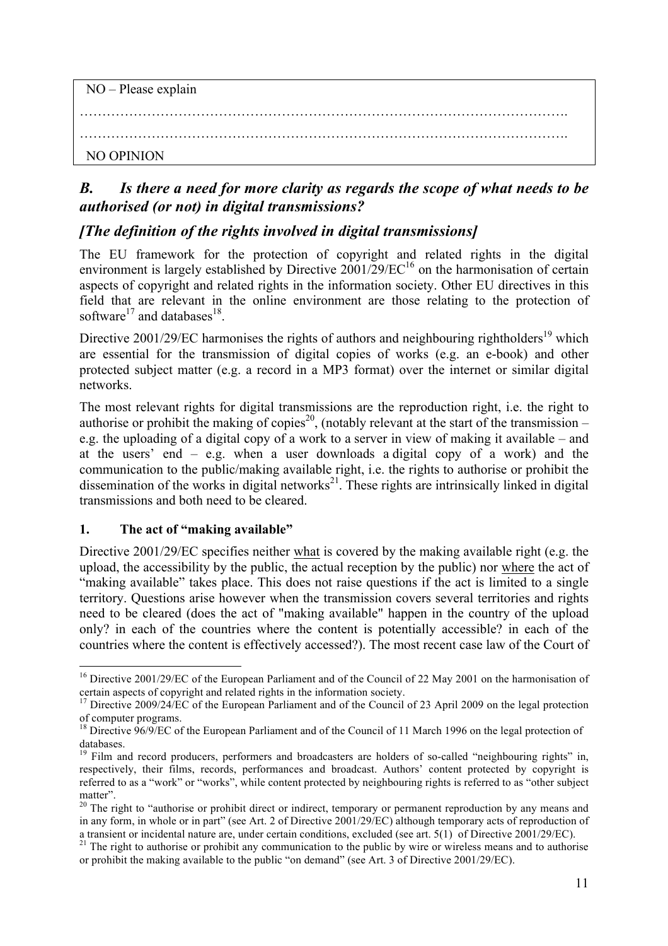| $NO - Please$ explain |  |  |  |
|-----------------------|--|--|--|
|                       |  |  |  |
| NO OPINION            |  |  |  |

## *B. Is there a need for more clarity as regards the scope of what needs to be authorised (or not) in digital transmissions?*

## *[The definition of the rights involved in digital transmissions]*

The EU framework for the protection of copyright and related rights in the digital environment is largely established by Directive  $2001/29/EC^{16}$  on the harmonisation of certain aspects of copyright and related rights in the information society. Other EU directives in this field that are relevant in the online environment are those relating to the protection of software<sup>17</sup> and databases<sup>18</sup>.

Directive  $2001/29/EC$  harmonises the rights of authors and neighbouring rightholders<sup>19</sup> which are essential for the transmission of digital copies of works (e.g. an e-book) and other protected subject matter (e.g. a record in a MP3 format) over the internet or similar digital networks.

The most relevant rights for digital transmissions are the reproduction right, i.e. the right to authorise or prohibit the making of copies<sup>20</sup>, (notably relevant at the start of the transmission – e.g. the uploading of a digital copy of a work to a server in view of making it available – and at the users' end – e.g. when a user downloads a digital copy of a work) and the communication to the public/making available right, i.e. the rights to authorise or prohibit the dissemination of the works in digital networks $^{21}$ . These rights are intrinsically linked in digital transmissions and both need to be cleared.

#### **1. The act of "making available"**

Directive 2001/29/EC specifies neither what is covered by the making available right (e.g. the upload, the accessibility by the public, the actual reception by the public) nor where the act of "making available" takes place. This does not raise questions if the act is limited to a single territory. Questions arise however when the transmission covers several territories and rights need to be cleared (does the act of "making available" happen in the country of the upload only? in each of the countries where the content is potentially accessible? in each of the countries where the content is effectively accessed?). The most recent case law of the Court of

<sup>&</sup>lt;sup>16</sup> Directive 2001/29/EC of the European Parliament and of the Council of 22 May 2001 on the harmonisation of certain aspects of copyright and related rights in the information society.

<sup>&</sup>lt;sup>17</sup> Directive 2009/24/EC of the European Parliament and of the Council of 23 April 2009 on the legal protection

of computer programs.<br><sup>18</sup> Directive 96/9/EC of the European Parliament and of the Council of 11 March 1996 on the legal protection of

databases.<br><sup>19</sup> Film and record producers, performers and broadcasters are holders of so-called "neighbouring rights" in, respectively, their films, records, performances and broadcast. Authors' content protected by copyright is referred to as a "work" or "works", while content protected by neighbouring rights is referred to as "other subject matter".

 $20$  The right to "authorise or prohibit direct or indirect, temporary or permanent reproduction by any means and in any form, in whole or in part" (see Art. 2 of Directive 2001/29/EC) although temporary acts of reproduction of a transient or incidental nature are, under certain conditions, excluded (see art. 5(1) of Directive 2001/29

 $21$  The right to authorise or prohibit any communication to the public by wire or wireless means and to authorise or prohibit the making available to the public "on demand" (see Art. 3 of Directive 2001/29/EC).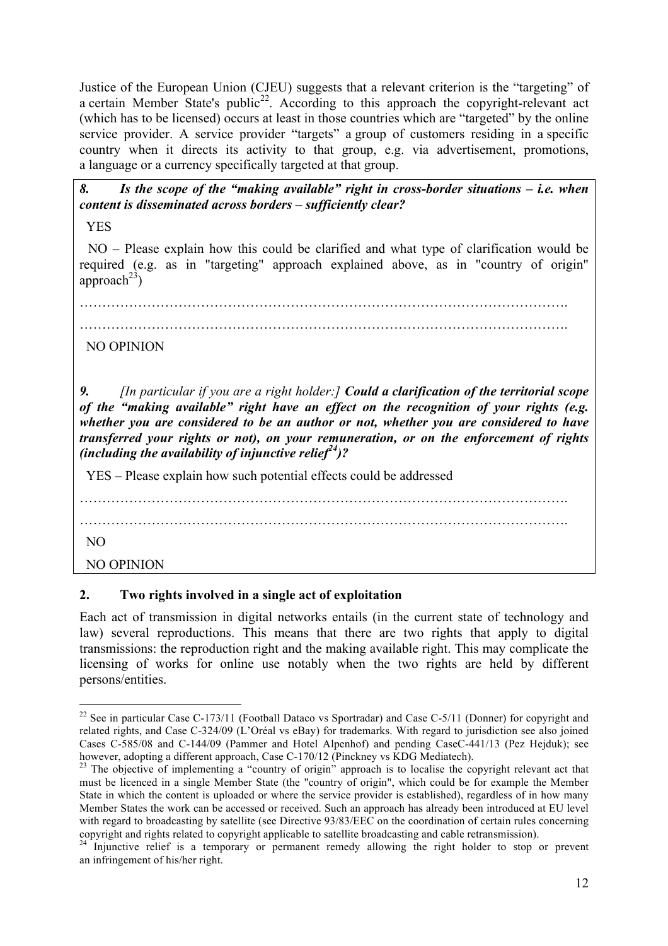Justice of the European Union (CJEU) suggests that a relevant criterion is the "targeting" of a certain Member State's public<sup>22</sup>. According to this approach the copyright-relevant act (which has to be licensed) occurs at least in those countries which are "targeted" by the online service provider. A service provider "targets" a group of customers residing in a specific country when it directs its activity to that group, e.g. via advertisement, promotions, a language or a currency specifically targeted at that group.

*8. Is the scope of the "making available" right in cross-border situations – i.e. when content is disseminated across borders – sufficiently clear?* 

YES

 NO – Please explain how this could be clarified and what type of clarification would be required (e.g. as in "targeting" approach explained above, as in "country of origin" approach<sup>23</sup>)

……………………………………………………………………………………………….

……………………………………………………………………………………………….

#### NO OPINION

*9. [In particular if you are a right holder:] Could a clarification of the territorial scope of the "making available" right have an effect on the recognition of your rights (e.g. whether you are considered to be an author or not, whether you are considered to have transferred your rights or not), on your remuneration, or on the enforcement of rights (including the availability of injunctive relief24)?*

YES – Please explain how such potential effects could be addressed

……………………………………………………………………………………………….

……………………………………………………………………………………………….

NO

NO OPINION

#### **2. Two rights involved in a single act of exploitation**

Each act of transmission in digital networks entails (in the current state of technology and law) several reproductions. This means that there are two rights that apply to digital transmissions: the reproduction right and the making available right. This may complicate the licensing of works for online use notably when the two rights are held by different persons/entities.

<sup>&</sup>lt;sup>22</sup> See in particular Case C-173/11 (Football Dataco vs Sportradar) and Case C-5/11 (Donner) for copyright and related rights, and Case C-324/09 (L'Oréal vs eBay) for trademarks. With regard to jurisdiction see also joined Cases C-585/08 and C-144/09 (Pammer and Hotel Alpenhof) and pending CaseC-441/13 (Pez Hejduk); see<br>however, adopting a different approach, Case C-170/12 (Pinckney vs KDG Mediatech).

<sup>&</sup>lt;sup>23</sup> The objective of implementing a "country of origin" approach is to localise the copyright relevant act that must be licenced in a single Member State (the "country of origin", which could be for example the Member State in which the content is uploaded or where the service provider is established), regardless of in how many Member States the work can be accessed or received. Such an approach has already been introduced at EU level with regard to broadcasting by satellite (see Directive 93/83/EEC on the coordination of certain rules concerning copyright and rights related to copyright applicable to satellite broadcasting and cable retransmission). <sup>24</sup> Injunctive relief is a temporary or permanent remedy allowing the right holder to stop or prevent

an infringement of his/her right.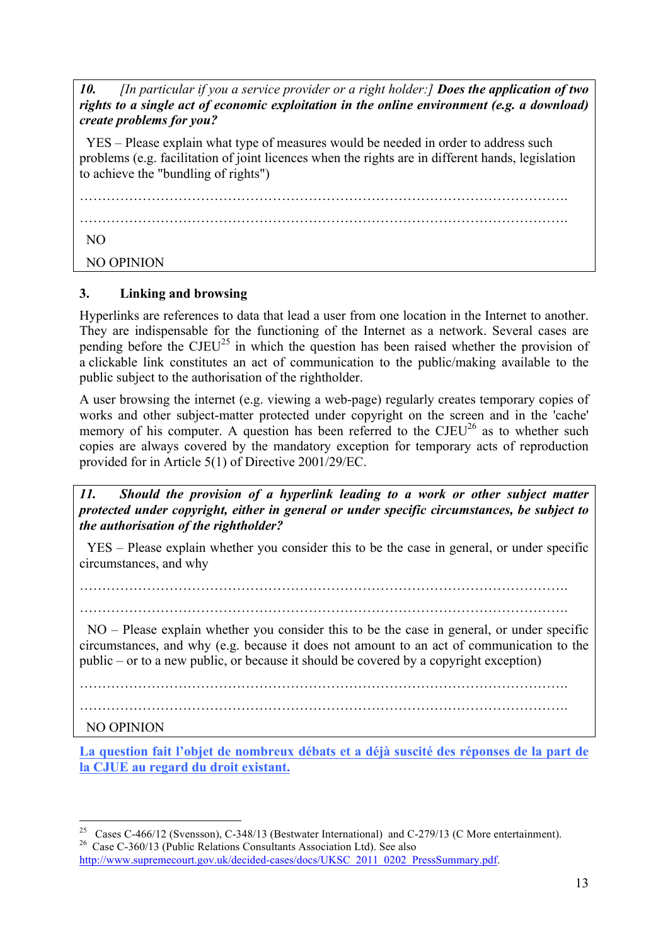*10. [In particular if you a service provider or a right holder:] Does the application of two rights to a single act of economic exploitation in the online environment (e.g. a download) create problems for you?* 

 YES – Please explain what type of measures would be needed in order to address such problems (e.g. facilitation of joint licences when the rights are in different hands, legislation to achieve the "bundling of rights")

……………………………………………………………………………………………….

……………………………………………………………………………………………….

NO

NO OPINION

## **3. Linking and browsing**

Hyperlinks are references to data that lead a user from one location in the Internet to another. They are indispensable for the functioning of the Internet as a network. Several cases are pending before the  $CJEU^{25}$  in which the question has been raised whether the provision of a clickable link constitutes an act of communication to the public/making available to the public subject to the authorisation of the rightholder.

A user browsing the internet (e.g. viewing a web-page) regularly creates temporary copies of works and other subject-matter protected under copyright on the screen and in the 'cache' memory of his computer. A question has been referred to the  $CJEU<sup>26</sup>$  as to whether such copies are always covered by the mandatory exception for temporary acts of reproduction provided for in Article 5(1) of Directive 2001/29/EC.

*11. Should the provision of a hyperlink leading to a work or other subject matter protected under copyright, either in general or under specific circumstances, be subject to the authorisation of the rightholder?*

 YES – Please explain whether you consider this to be the case in general, or under specific circumstances, and why

……………………………………………………………………………………………….

……………………………………………………………………………………………….

 NO – Please explain whether you consider this to be the case in general, or under specific circumstances, and why (e.g. because it does not amount to an act of communication to the public – or to a new public, or because it should be covered by a copyright exception)

……………………………………………………………………………………………….

……………………………………………………………………………………………….

## NO OPINION

**La question fait l'objet de nombreux débats et a déjà suscité des réponses de la part de la CJUE au regard du droit existant.** 

<sup>&</sup>lt;sup>25</sup> Cases C-466/12 (Svensson), C-348/13 (Bestwater International) and C-279/13 (C More entertainment).<br><sup>26</sup> Case C-360/13 (Public Relations Consultants Association Ltd). See also

http://www.supremecourt.gov.uk/decided-cases/docs/UKSC\_2011\_0202\_PressSummary.pdf.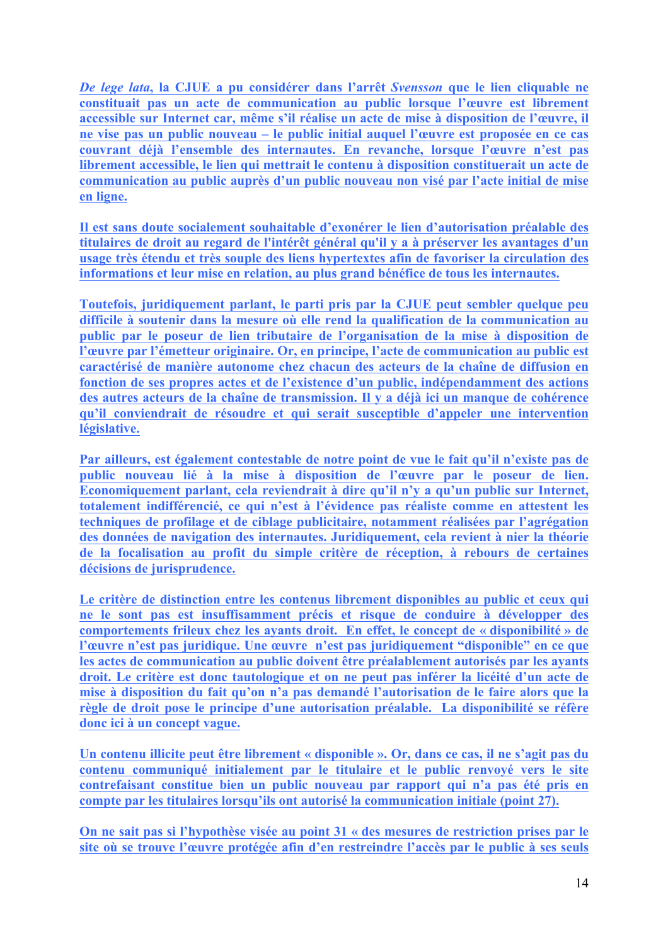*De lege lata***, la CJUE a pu considérer dans l'arrêt** *Svensson* **que le lien cliquable ne constituait pas un acte de communication au public lorsque l'œuvre est librement accessible sur Internet car, même s'il réalise un acte de mise à disposition de l'œuvre, il ne vise pas un public nouveau – le public initial auquel l'œuvre est proposée en ce cas couvrant déjà l'ensemble des internautes. En revanche, lorsque l'œuvre n'est pas librement accessible, le lien qui mettrait le contenu à disposition constituerait un acte de communication au public auprès d'un public nouveau non visé par l'acte initial de mise en ligne.** 

**Il est sans doute socialement souhaitable d'exonérer le lien d'autorisation préalable des titulaires de droit au regard de l'intérêt général qu'il y a à préserver les avantages d'un usage très étendu et très souple des liens hypertextes afin de favoriser la circulation des informations et leur mise en relation, au plus grand bénéfice de tous les internautes.**

**Toutefois, juridiquement parlant, le parti pris par la CJUE peut sembler quelque peu difficile à soutenir dans la mesure où elle rend la qualification de la communication au public par le poseur de lien tributaire de l'organisation de la mise à disposition de l'œuvre par l'émetteur originaire. Or, en principe, l'acte de communication au public est caractérisé de manière autonome chez chacun des acteurs de la chaîne de diffusion en fonction de ses propres actes et de l'existence d'un public, indépendamment des actions des autres acteurs de la chaîne de transmission. Il y a déjà ici un manque de cohérence qu'il conviendrait de résoudre et qui serait susceptible d'appeler une intervention législative.** 

**Par ailleurs, est également contestable de notre point de vue le fait qu'il n'existe pas de public nouveau lié à la mise à disposition de l'œuvre par le poseur de lien. Economiquement parlant, cela reviendrait à dire qu'il n'y a qu'un public sur Internet, totalement indifférencié, ce qui n'est à l'évidence pas réaliste comme en attestent les techniques de profilage et de ciblage publicitaire, notamment réalisées par l'agrégation des données de navigation des internautes. Juridiquement, cela revient à nier la théorie de la focalisation au profit du simple critère de réception, à rebours de certaines décisions de jurisprudence.** 

**Le critère de distinction entre les contenus librement disponibles au public et ceux qui ne le sont pas est insuffisamment précis et risque de conduire à développer des comportements frileux chez les ayants droit. En effet, le concept de « disponibilité » de l'œuvre n'est pas juridique. Une œuvre n'est pas juridiquement "disponible" en ce que les actes de communication au public doivent être préalablement autorisés par les ayants droit. Le critère est donc tautologique et on ne peut pas inférer la licéité d'un acte de mise à disposition du fait qu'on n'a pas demandé l'autorisation de le faire alors que la règle de droit pose le principe d'une autorisation préalable. La disponibilité se réfère donc ici à un concept vague.**

**Un contenu illicite peut être librement « disponible ». Or, dans ce cas, il ne s'agit pas du contenu communiqué initialement par le titulaire et le public renvoyé vers le site contrefaisant constitue bien un public nouveau par rapport qui n'a pas été pris en compte par les titulaires lorsqu'ils ont autorisé la communication initiale (point 27).**

**On ne sait pas si l'hypothèse visée au point 31 « des mesures de restriction prises par le site où se trouve l'œuvre protégée afin d'en restreindre l'accès par le public à ses seuls**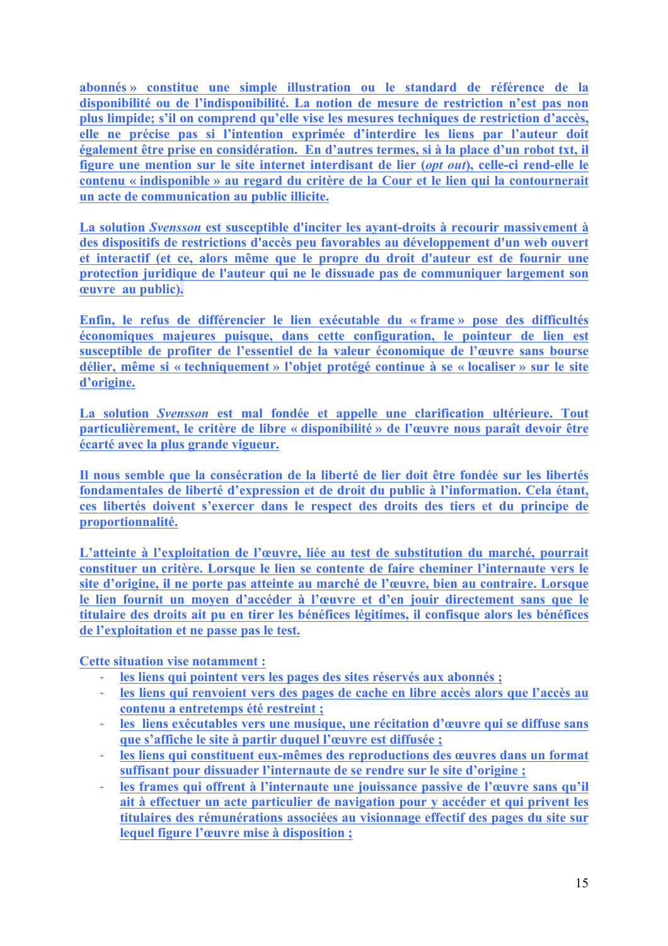**abonnés » constitue une simple illustration ou le standard de référence de la disponibilité ou de l'indisponibilité. La notion de mesure de restriction n'est pas non plus limpide; s'il on comprend qu'elle vise les mesures techniques de restriction d'accès, elle ne précise pas si l'intention exprimée d'interdire les liens par l'auteur doit également être prise en considération. En d'autres termes, si à la place d'un robot txt, il figure une mention sur le site internet interdisant de lier (***opt out***), celle-ci rend-elle le contenu « indisponible » au regard du critère de la Cour et le lien qui la contournerait un acte de communication au public illicite.**

**La solution** *Svensson* **est susceptible d'inciter les ayant-droits à recourir massivement à des dispositifs de restrictions d'accès peu favorables au développement d'un web ouvert et interactif (et ce, alors même que le propre du droit d'auteur est de fournir une protection juridique de l'auteur qui ne le dissuade pas de communiquer largement son œuvre au public).**

**Enfin, le refus de différencier le lien exécutable du « frame » pose des difficultés économiques majeures puisque, dans cette configuration, le pointeur de lien est susceptible de profiter de l'essentiel de la valeur économique de l'œuvre sans bourse délier, même si « techniquement » l'objet protégé continue à se « localiser » sur le site d'origine.** 

**La solution** *Svensson* **est mal fondée et appelle une clarification ultérieure. Tout particulièrement, le critère de libre « disponibilité » de l'œuvre nous paraît devoir être écarté avec la plus grande vigueur.** 

**Il nous semble que la consécration de la liberté de lier doit être fondée sur les libertés fondamentales de liberté d'expression et de droit du public à l'information. Cela étant, ces libertés doivent s'exercer dans le respect des droits des tiers et du principe de proportionnalité.** 

**L'atteinte à l'exploitation de l'œuvre, liée au test de substitution du marché, pourrait constituer un critère. Lorsque le lien se contente de faire cheminer l'internaute vers le site d'origine, il ne porte pas atteinte au marché de l'œuvre, bien au contraire. Lorsque le lien fournit un moyen d'accéder à l'œuvre et d'en jouir directement sans que le titulaire des droits ait pu en tirer les bénéfices légitimes, il confisque alors les bénéfices de l'exploitation et ne passe pas le test.** 

**Cette situation vise notamment :** 

- ! **les liens qui pointent vers les pages des sites réservés aux abonnés ;**
- ! **les liens qui renvoient vers des pages de cache en libre accès alors que l'accès au contenu a entretemps été restreint ;**
- ! **les liens exécutables vers une musique, une récitation d'œuvre qui se diffuse sans que s'affiche le site à partir duquel l'œuvre est diffusée ;**
- ! **les liens qui constituent eux-mêmes des reproductions des œuvres dans un format suffisant pour dissuader l'internaute de se rendre sur le site d'origine ;**
- ! **les frames qui offrent à l'internaute une jouissance passive de l'œuvre sans qu'il ait à effectuer un acte particulier de navigation pour y accéder et qui privent les titulaires des rémunérations associées au visionnage effectif des pages du site sur lequel figure l'œuvre mise à disposition ;**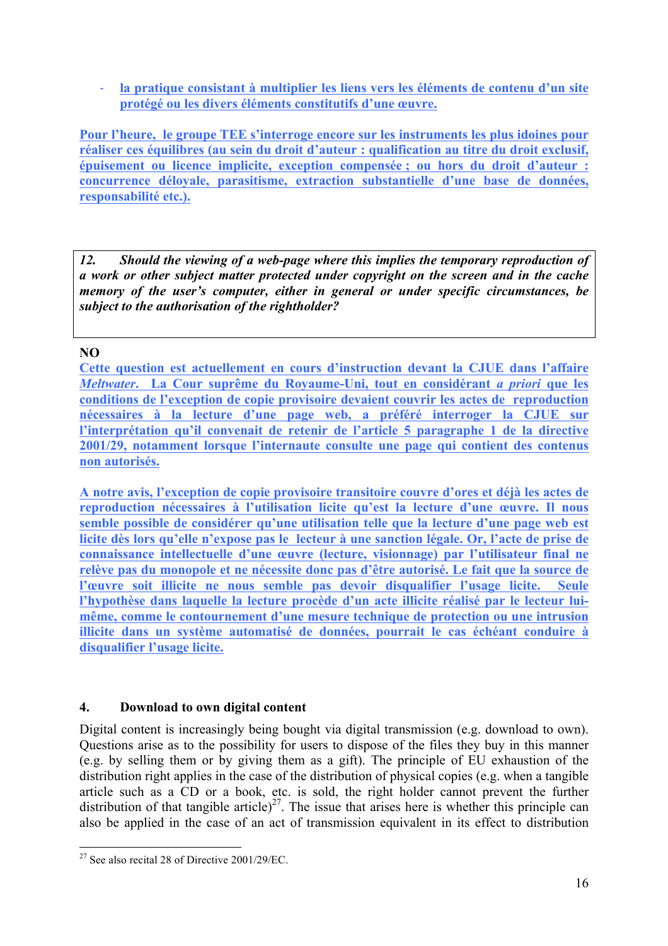! **la pratique consistant à multiplier les liens vers les éléments de contenu d'un site protégé ou les divers éléments constitutifs d'une œuvre.** 

**Pour l'heure, le groupe TEE s'interroge encore sur les instruments les plus idoines pour réaliser ces équilibres (au sein du droit d'auteur : qualification au titre du droit exclusif, épuisement ou licence implicite, exception compensée ; ou hors du droit d'auteur : concurrence déloyale, parasitisme, extraction substantielle d'une base de données, responsabilité etc.).** 

*12. Should the viewing of a web-page where this implies the temporary reproduction of a work or other subject matter protected under copyright on the screen and in the cache memory of the user's computer, either in general or under specific circumstances, be subject to the authorisation of the rightholder?* 

#### **NO**

**Cette question est actuellement en cours d'instruction devant la CJUE dans l'affaire**  *Meltwater***. La Cour suprême du Royaume-Uni, tout en considérant** *a priori* **que les conditions de l'exception de copie provisoire devaient couvrir les actes de reproduction nécessaires à la lecture d'une page web, a préféré interroger la CJUE sur l'interprétation qu'il convenait de retenir de l'article 5 paragraphe 1 de la directive 2001/29, notamment lorsque l'internaute consulte une page qui contient des contenus non autorisés.** 

**A notre avis, l'exception de copie provisoire transitoire couvre d'ores et déjà les actes de reproduction nécessaires à l'utilisation licite qu'est la lecture d'une œuvre. Il nous semble possible de considérer qu'une utilisation telle que la lecture d'une page web est licite dès lors qu'elle n'expose pas le lecteur à une sanction légale. Or, l'acte de prise de connaissance intellectuelle d'une œuvre (lecture, visionnage) par l'utilisateur final ne relève pas du monopole et ne nécessite donc pas d'être autorisé. Le fait que la source de l'œuvre soit illicite ne nous semble pas devoir disqualifier l'usage licite. Seule l'hypothèse dans laquelle la lecture procède d'un acte illicite réalisé par le lecteur luimême, comme le contournement d'une mesure technique de protection ou une intrusion illicite dans un système automatisé de données, pourrait le cas échéant conduire à disqualifier l'usage licite.** 

#### **4. Download to own digital content**

Digital content is increasingly being bought via digital transmission (e.g. download to own). Questions arise as to the possibility for users to dispose of the files they buy in this manner (e.g. by selling them or by giving them as a gift). The principle of EU exhaustion of the distribution right applies in the case of the distribution of physical copies (e.g. when a tangible article such as a CD or a book, etc. is sold, the right holder cannot prevent the further distribution of that tangible article)<sup>27</sup>. The issue that arises here is whether this principle can also be applied in the case of an act of transmission equivalent in its effect to distribution

<sup>&</sup>lt;sup>27</sup> See also recital 28 of Directive  $2001/29/EC$ .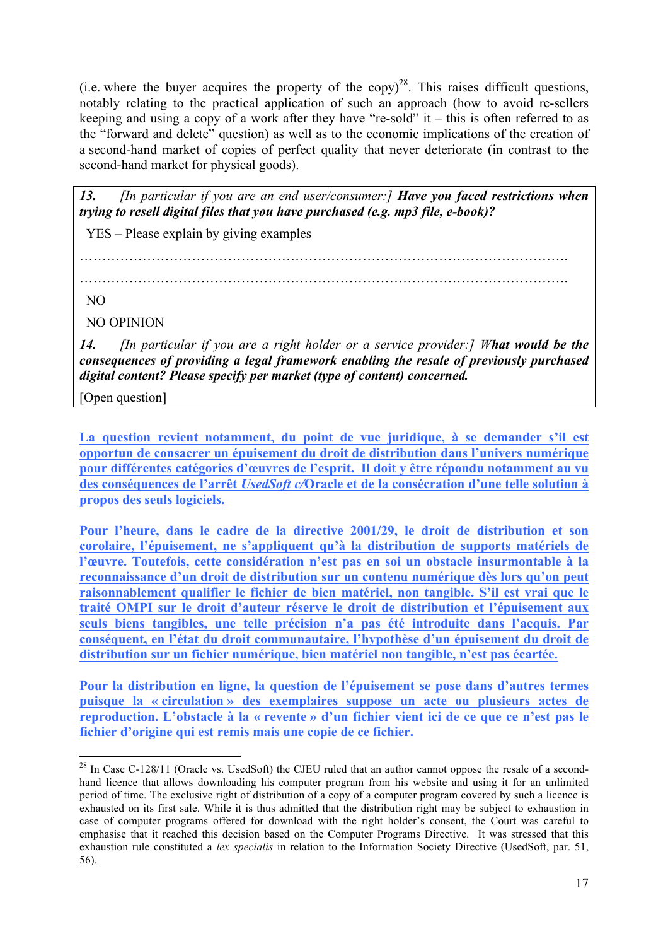(i.e. where the buyer acquires the property of the copy)<sup>28</sup>. This raises difficult questions, notably relating to the practical application of such an approach (how to avoid re-sellers keeping and using a copy of a work after they have "re-sold" it – this is often referred to as the "forward and delete" question) as well as to the economic implications of the creation of a second-hand market of copies of perfect quality that never deteriorate (in contrast to the second-hand market for physical goods).

*13. [In particular if you are an end user/consumer:] Have you faced restrictions when trying to resell digital files that you have purchased (e.g. mp3 file, e-book)?* 

YES – Please explain by giving examples

……………………………………………………………………………………………….

……………………………………………………………………………………………….

NO

NO OPINION

*14. [In particular if you are a right holder or a service provider:] What would be the consequences of providing a legal framework enabling the resale of previously purchased digital content? Please specify per market (type of content) concerned.*

[Open question]

La question revient notamment, du point de vue juridique, à se demander s'il est **opportun de consacrer un épuisement du droit de distribution dans l'univers numérique pour différentes catégories d'œuvres de l'esprit. Il doit y être répondu notamment au vu des conséquences de l'arrêt** *UsedSoft c/***Oracle et de la consécration d'une telle solution à propos des seuls logiciels.** 

**Pour l'heure, dans le cadre de la directive 2001/29, le droit de distribution et son corolaire, l'épuisement, ne s'appliquent qu'à la distribution de supports matériels de l'œuvre. Toutefois, cette considération n'est pas en soi un obstacle insurmontable à la reconnaissance d'un droit de distribution sur un contenu numérique dès lors qu'on peut raisonnablement qualifier le fichier de bien matériel, non tangible. S'il est vrai que le traité OMPI sur le droit d'auteur réserve le droit de distribution et l'épuisement aux seuls biens tangibles, une telle précision n'a pas été introduite dans l'acquis. Par conséquent, en l'état du droit communautaire, l'hypothèse d'un épuisement du droit de distribution sur un fichier numérique, bien matériel non tangible, n'est pas écartée.** 

**Pour la distribution en ligne, la question de l'épuisement se pose dans d'autres termes puisque la « circulation » des exemplaires suppose un acte ou plusieurs actes de reproduction. L'obstacle à la « revente » d'un fichier vient ici de ce que ce n'est pas le fichier d'origine qui est remis mais une copie de ce fichier.** 

<sup>&</sup>lt;sup>28</sup> In Case C-128/11 (Oracle vs. UsedSoft) the CJEU ruled that an author cannot oppose the resale of a secondhand licence that allows downloading his computer program from his website and using it for an unlimited period of time. The exclusive right of distribution of a copy of a computer program covered by such a licence is exhausted on its first sale. While it is thus admitted that the distribution right may be subject to exhaustion in case of computer programs offered for download with the right holder's consent, the Court was careful to emphasise that it reached this decision based on the Computer Programs Directive. It was stressed that this exhaustion rule constituted a *lex specialis* in relation to the Information Society Directive (UsedSoft, par. 51, 56).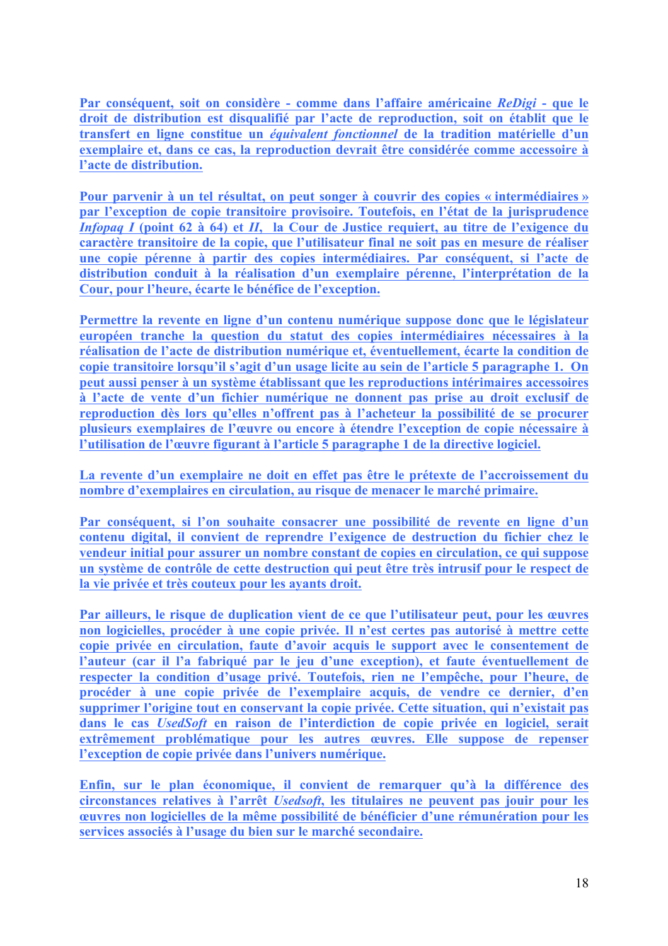**Par conséquent, soit on considère - comme dans l'affaire américaine** *ReDigi* **- que le droit de distribution est disqualifié par l'acte de reproduction, soit on établit que le transfert en ligne constitue un** *équivalent fonctionnel* **de la tradition matérielle d'un exemplaire et, dans ce cas, la reproduction devrait être considérée comme accessoire à l'acte de distribution.** 

**Pour parvenir à un tel résultat, on peut songer à couvrir des copies « intermédiaires » par l'exception de copie transitoire provisoire. Toutefois, en l'état de la jurisprudence**  *Infopaq I* **(point 62 à 64) et** *II***, la Cour de Justice requiert, au titre de l'exigence du caractère transitoire de la copie, que l'utilisateur final ne soit pas en mesure de réaliser une copie pérenne à partir des copies intermédiaires. Par conséquent, si l'acte de distribution conduit à la réalisation d'un exemplaire pérenne, l'interprétation de la Cour, pour l'heure, écarte le bénéfice de l'exception.** 

**Permettre la revente en ligne d'un contenu numérique suppose donc que le législateur européen tranche la question du statut des copies intermédiaires nécessaires à la réalisation de l'acte de distribution numérique et, éventuellement, écarte la condition de copie transitoire lorsqu'il s'agit d'un usage licite au sein de l'article 5 paragraphe 1. On peut aussi penser à un système établissant que les reproductions intérimaires accessoires à l'acte de vente d'un fichier numérique ne donnent pas prise au droit exclusif de reproduction dès lors qu'elles n'offrent pas à l'acheteur la possibilité de se procurer plusieurs exemplaires de l'œuvre ou encore à étendre l'exception de copie nécessaire à l'utilisation de l'œuvre figurant à l'article 5 paragraphe 1 de la directive logiciel.** 

**La revente d'un exemplaire ne doit en effet pas être le prétexte de l'accroissement du nombre d'exemplaires en circulation, au risque de menacer le marché primaire.** 

**Par conséquent, si l'on souhaite consacrer une possibilité de revente en ligne d'un contenu digital, il convient de reprendre l'exigence de destruction du fichier chez le vendeur initial pour assurer un nombre constant de copies en circulation, ce qui suppose un système de contrôle de cette destruction qui peut être très intrusif pour le respect de la vie privée et très couteux pour les ayants droit.** 

**Par ailleurs, le risque de duplication vient de ce que l'utilisateur peut, pour les œuvres non logicielles, procéder à une copie privée. Il n'est certes pas autorisé à mettre cette copie privée en circulation, faute d'avoir acquis le support avec le consentement de l'auteur (car il l'a fabriqué par le jeu d'une exception), et faute éventuellement de respecter la condition d'usage privé. Toutefois, rien ne l'empêche, pour l'heure, de procéder à une copie privée de l'exemplaire acquis, de vendre ce dernier, d'en supprimer l'origine tout en conservant la copie privée. Cette situation, qui n'existait pas dans le cas** *UsedSoft* **en raison de l'interdiction de copie privée en logiciel, serait extrêmement problématique pour les autres œuvres. Elle suppose de repenser l'exception de copie privée dans l'univers numérique.** 

**Enfin, sur le plan économique, il convient de remarquer qu'à la différence des circonstances relatives à l'arrêt** *Usedsoft***, les titulaires ne peuvent pas jouir pour les œuvres non logicielles de la même possibilité de bénéficier d'une rémunération pour les services associés à l'usage du bien sur le marché secondaire.**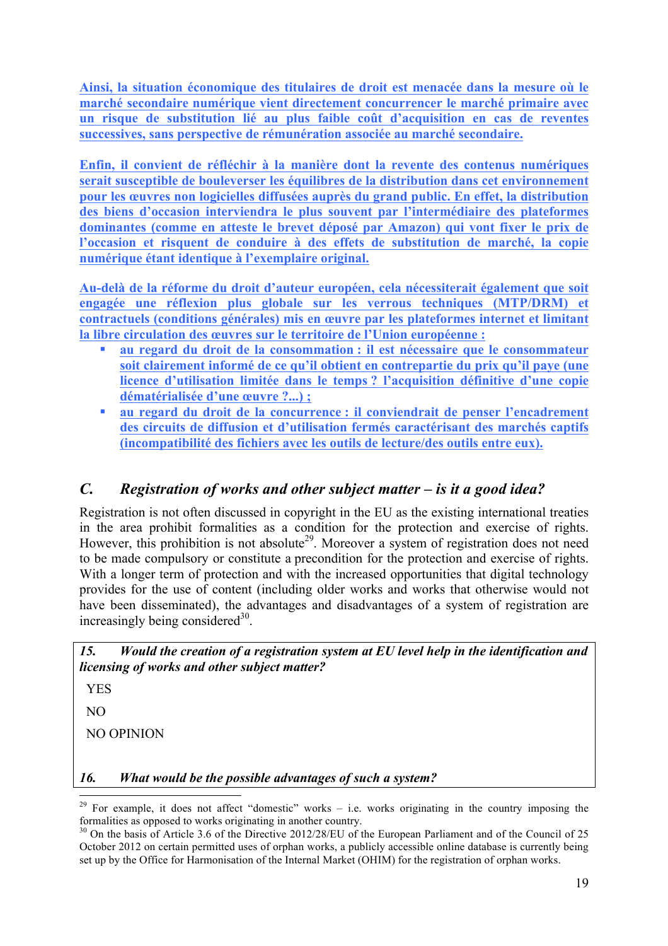**Ainsi, la situation économique des titulaires de droit est menacée dans la mesure où le marché secondaire numérique vient directement concurrencer le marché primaire avec un risque de substitution lié au plus faible coût d'acquisition en cas de reventes successives, sans perspective de rémunération associée au marché secondaire.** 

**Enfin, il convient de réfléchir à la manière dont la revente des contenus numériques serait susceptible de bouleverser les équilibres de la distribution dans cet environnement pour les œuvres non logicielles diffusées auprès du grand public. En effet, la distribution des biens d'occasion interviendra le plus souvent par l'intermédiaire des plateformes dominantes (comme en atteste le brevet déposé par Amazon) qui vont fixer le prix de l'occasion et risquent de conduire à des effets de substitution de marché, la copie numérique étant identique à l'exemplaire original.**

**Au-delà de la réforme du droit d'auteur européen, cela nécessiterait également que soit engagée une réflexion plus globale sur les verrous techniques (MTP/DRM) et contractuels (conditions générales) mis en œuvre par les plateformes internet et limitant la libre circulation des œuvres sur le territoire de l'Union européenne :**

- " **au regard du droit de la consommation : il est nécessaire que le consommateur soit clairement informé de ce qu'il obtient en contrepartie du prix qu'il paye (une licence d'utilisation limitée dans le temps ? l'acquisition définitive d'une copie dématérialisée d'une œuvre ?...) ;**
- " **au regard du droit de la concurrence : il conviendrait de penser l'encadrement des circuits de diffusion et d'utilisation fermés caractérisant des marchés captifs (incompatibilité des fichiers avec les outils de lecture/des outils entre eux).**

# *C. Registration of works and other subject matter – is it a good idea?*

Registration is not often discussed in copyright in the EU as the existing international treaties in the area prohibit formalities as a condition for the protection and exercise of rights. However, this prohibition is not absolute<sup>29</sup>. Moreover a system of registration does not need to be made compulsory or constitute a precondition for the protection and exercise of rights. With a longer term of protection and with the increased opportunities that digital technology provides for the use of content (including older works and works that otherwise would not have been disseminated), the advantages and disadvantages of a system of registration are increasingly being considered $30$ .

*15. Would the creation of a registration system at EU level help in the identification and licensing of works and other subject matter?* 

YES

NO

NO OPINION

*16. What would be the possible advantages of such a system?* 

<sup>&</sup>lt;sup>29</sup> For example, it does not affect "domestic" works – i.e. works originating in the country imposing the formalities as opposed to works originating in another country.

 $\frac{30}{10}$  On the basis of Article 3.6 of the Directive 2012/28/EU of the European Parliament and of the Council of 25 October 2012 on certain permitted uses of orphan works, a publicly accessible online database is currently being set up by the Office for Harmonisation of the Internal Market (OHIM) for the registration of orphan works.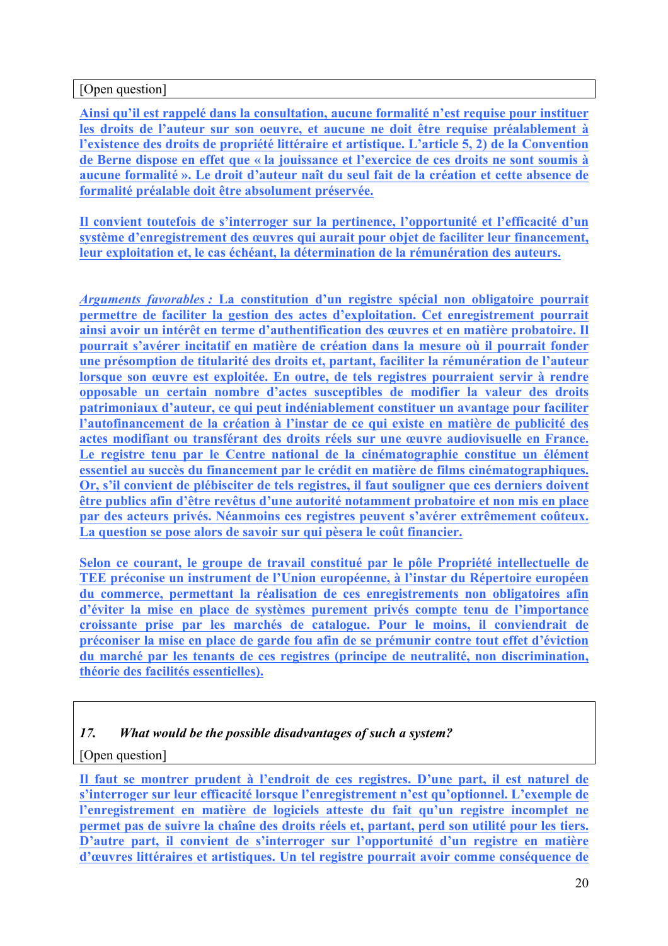#### [Open question]

**Ainsi qu'il est rappelé dans la consultation, aucune formalité n'est requise pour instituer les droits de l'auteur sur son oeuvre, et aucune ne doit être requise préalablement à l'existence des droits de propriété littéraire et artistique. L'article 5, 2) de la Convention de Berne dispose en effet que « la jouissance et l'exercice de ces droits ne sont soumis à aucune formalité ». Le droit d'auteur naît du seul fait de la création et cette absence de formalité préalable doit être absolument préservée.** 

**Il convient toutefois de s'interroger sur la pertinence, l'opportunité et l'efficacité d'un système d'enregistrement des œuvres qui aurait pour objet de faciliter leur financement, leur exploitation et, le cas échéant, la détermination de la rémunération des auteurs.** 

*Arguments favorables :* **La constitution d'un registre spécial non obligatoire pourrait permettre de faciliter la gestion des actes d'exploitation. Cet enregistrement pourrait ainsi avoir un intérêt en terme d'authentification des œuvres et en matière probatoire. Il pourrait s'avérer incitatif en matière de création dans la mesure où il pourrait fonder une présomption de titularité des droits et, partant, faciliter la rémunération de l'auteur lorsque son œuvre est exploitée. En outre, de tels registres pourraient servir à rendre opposable un certain nombre d'actes susceptibles de modifier la valeur des droits patrimoniaux d'auteur, ce qui peut indéniablement constituer un avantage pour faciliter l'autofinancement de la création à l'instar de ce qui existe en matière de publicité des actes modifiant ou transférant des droits réels sur une œuvre audiovisuelle en France. Le registre tenu par le Centre national de la cinématographie constitue un élément essentiel au succès du financement par le crédit en matière de films cinématographiques. Or, s'il convient de plébisciter de tels registres, il faut souligner que ces derniers doivent être publics afin d'être revêtus d'une autorité notamment probatoire et non mis en place par des acteurs privés. Néanmoins ces registres peuvent s'avérer extrêmement coûteux. La question se pose alors de savoir sur qui pèsera le coût financier.**

**Selon ce courant, le groupe de travail constitué par le pôle Propriété intellectuelle de TEE préconise un instrument de l'Union européenne, à l'instar du Répertoire européen du commerce, permettant la réalisation de ces enregistrements non obligatoires afin d'éviter la mise en place de systèmes purement privés compte tenu de l'importance croissante prise par les marchés de catalogue. Pour le moins, il conviendrait de préconiser la mise en place de garde fou afin de se prémunir contre tout effet d'éviction du marché par les tenants de ces registres (principe de neutralité, non discrimination, théorie des facilités essentielles).**

#### *17. What would be the possible disadvantages of such a system?*

#### [Open question]

**Il faut se montrer prudent à l'endroit de ces registres. D'une part, il est naturel de s'interroger sur leur efficacité lorsque l'enregistrement n'est qu'optionnel. L'exemple de l'enregistrement en matière de logiciels atteste du fait qu'un registre incomplet ne permet pas de suivre la chaîne des droits réels et, partant, perd son utilité pour les tiers. D'autre part, il convient de s'interroger sur l'opportunité d'un registre en matière d'œuvres littéraires et artistiques. Un tel registre pourrait avoir comme conséquence de**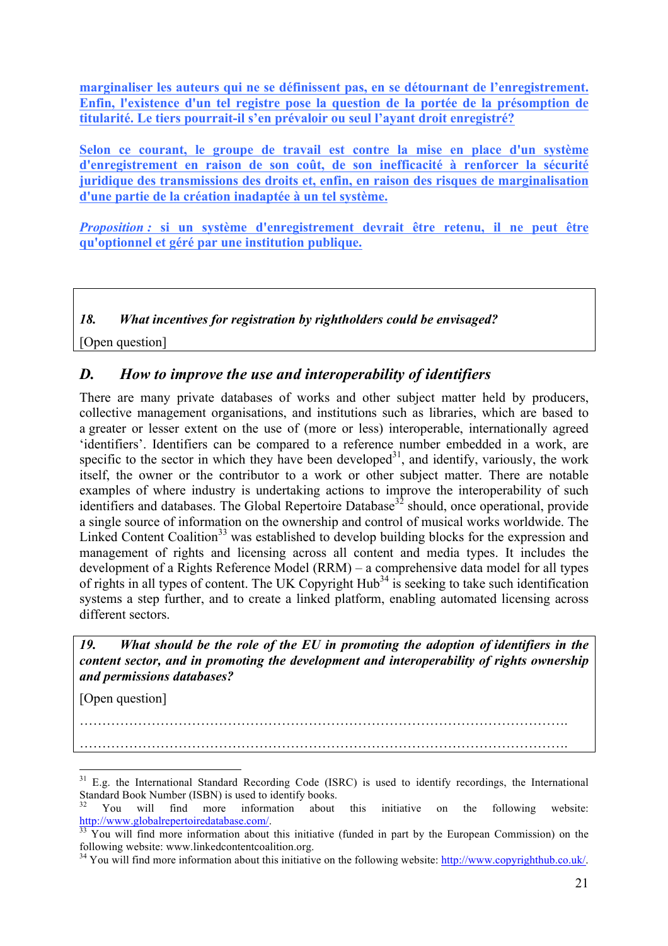**marginaliser les auteurs qui ne se définissent pas, en se détournant de l'enregistrement. Enfin, l'existence d'un tel registre pose la question de la portée de la présomption de titularité. Le tiers pourrait-il s'en prévaloir ou seul l'ayant droit enregistré?**

**Selon ce courant, le groupe de travail est contre la mise en place d'un système d'enregistrement en raison de son coût, de son inefficacité à renforcer la sécurité juridique des transmissions des droits et, enfin, en raison des risques de marginalisation d'une partie de la création inadaptée à un tel système.**

*Proposition :* **si un système d'enregistrement devrait être retenu, il ne peut être qu'optionnel et géré par une institution publique.**

*18. What incentives for registration by rightholders could be envisaged?*

[Open question]

## *D. How to improve the use and interoperability of identifiers*

There are many private databases of works and other subject matter held by producers, collective management organisations, and institutions such as libraries, which are based to a greater or lesser extent on the use of (more or less) interoperable, internationally agreed 'identifiers'. Identifiers can be compared to a reference number embedded in a work, are specific to the sector in which they have been developed<sup>31</sup>, and identify, variously, the work itself, the owner or the contributor to a work or other subject matter. There are notable examples of where industry is undertaking actions to improve the interoperability of such identifiers and databases. The Global Repertoire Database<sup>32</sup> should, once operational, provide a single source of information on the ownership and control of musical works worldwide. The Linked Content Coalition<sup>33</sup> was established to develop building blocks for the expression and management of rights and licensing across all content and media types. It includes the development of a Rights Reference Model (RRM) – a comprehensive data model for all types of rights in all types of content. The UK Copyright  $Hub<sup>34</sup>$  is seeking to take such identification systems a step further, and to create a linked platform, enabling automated licensing across different sectors.

*19. What should be the role of the EU in promoting the adoption of identifiers in the content sector, and in promoting the development and interoperability of rights ownership and permissions databases?*

[Open question]

………………………………………………………………………………………………. ……………………………………………………………………………………………….

<sup>&</sup>lt;sup>31</sup> E.g. the International Standard Recording Code (ISRC) is used to identify recordings, the International Standard Book Number (ISBN) is used to identify books.<br><sup>32</sup> You will find more information about this initiative on the following website:

http://www.globalrepertoiredatabase.com/.<br><sup>33</sup> You will find more information about this initiative (funded in part by the European Commission) on the following website: www.linkedcontentcoalition.org.

 $^{34}$  You will find more information about this initiative on the following website: http://www.copyrighthub.co.uk/.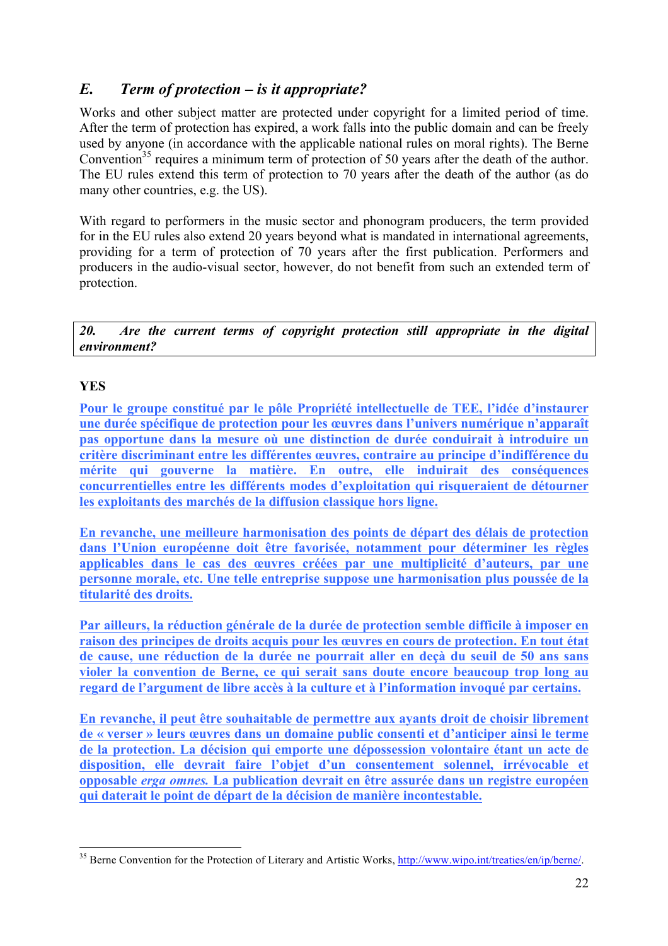## *E. Term of protection – is it appropriate?*

Works and other subject matter are protected under copyright for a limited period of time. After the term of protection has expired, a work falls into the public domain and can be freely used by anyone (in accordance with the applicable national rules on moral rights). The Berne Convention<sup>35</sup> requires a minimum term of protection of 50 years after the death of the author. The EU rules extend this term of protection to 70 years after the death of the author (as do many other countries, e.g. the US).

With regard to performers in the music sector and phonogram producers, the term provided for in the EU rules also extend 20 years beyond what is mandated in international agreements, providing for a term of protection of 70 years after the first publication. Performers and producers in the audio-visual sector, however, do not benefit from such an extended term of protection.

*20. Are the current terms of copyright protection still appropriate in the digital environment?*

## **YES**

**Pour le groupe constitué par le pôle Propriété intellectuelle de TEE, l'idée d'instaurer une durée spécifique de protection pour les œuvres dans l'univers numérique n'apparaît pas opportune dans la mesure où une distinction de durée conduirait à introduire un critère discriminant entre les différentes œuvres, contraire au principe d'indifférence du mérite qui gouverne la matière. En outre, elle induirait des conséquences concurrentielles entre les différents modes d'exploitation qui risqueraient de détourner les exploitants des marchés de la diffusion classique hors ligne.** 

**En revanche, une meilleure harmonisation des points de départ des délais de protection dans l'Union européenne doit être favorisée, notamment pour déterminer les règles applicables dans le cas des œuvres créées par une multiplicité d'auteurs, par une personne morale, etc. Une telle entreprise suppose une harmonisation plus poussée de la titularité des droits.** 

**Par ailleurs, la réduction générale de la durée de protection semble difficile à imposer en raison des principes de droits acquis pour les œuvres en cours de protection. En tout état de cause, une réduction de la durée ne pourrait aller en deçà du seuil de 50 ans sans violer la convention de Berne, ce qui serait sans doute encore beaucoup trop long au regard de l'argument de libre accès à la culture et à l'information invoqué par certains.** 

**En revanche, il peut être souhaitable de permettre aux ayants droit de choisir librement de « verser » leurs œuvres dans un domaine public consenti et d'anticiper ainsi le terme de la protection. La décision qui emporte une dépossession volontaire étant un acte de disposition, elle devrait faire l'objet d'un consentement solennel, irrévocable et opposable** *erga omnes.* **La publication devrait en être assurée dans un registre européen qui daterait le point de départ de la décision de manière incontestable.** 

<sup>&</sup>lt;sup>35</sup> Berne Convention for the Protection of Literary and Artistic Works, http://www.wipo.int/treaties/en/ip/berne/.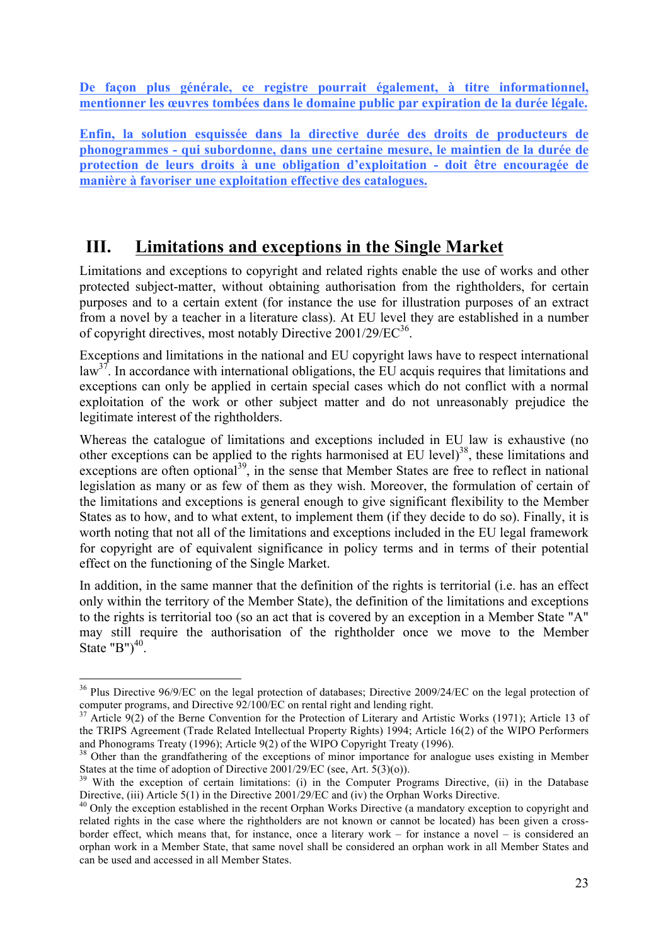**De façon plus générale, ce registre pourrait également, à titre informationnel, mentionner les œuvres tombées dans le domaine public par expiration de la durée légale.** 

**Enfin, la solution esquissée dans la directive durée des droits de producteurs de phonogrammes - qui subordonne, dans une certaine mesure, le maintien de la durée de protection de leurs droits à une obligation d'exploitation - doit être encouragée de manière à favoriser une exploitation effective des catalogues.** 

# **III. Limitations and exceptions in the Single Market**

Limitations and exceptions to copyright and related rights enable the use of works and other protected subject-matter, without obtaining authorisation from the rightholders, for certain purposes and to a certain extent (for instance the use for illustration purposes of an extract from a novel by a teacher in a literature class). At EU level they are established in a number of copyright directives, most notably Directive  $2001/29/EC^{36}$ .

Exceptions and limitations in the national and EU copyright laws have to respect international  $law<sup>37</sup>$ . In accordance with international obligations, the EU acquis requires that limitations and exceptions can only be applied in certain special cases which do not conflict with a normal exploitation of the work or other subject matter and do not unreasonably prejudice the legitimate interest of the rightholders.

Whereas the catalogue of limitations and exceptions included in EU law is exhaustive (no other exceptions can be applied to the rights harmonised at EU level)<sup>38</sup>, these limitations and exceptions are often optional<sup>39</sup>, in the sense that Member States are free to reflect in national legislation as many or as few of them as they wish. Moreover, the formulation of certain of the limitations and exceptions is general enough to give significant flexibility to the Member States as to how, and to what extent, to implement them (if they decide to do so). Finally, it is worth noting that not all of the limitations and exceptions included in the EU legal framework for copyright are of equivalent significance in policy terms and in terms of their potential effect on the functioning of the Single Market.

In addition, in the same manner that the definition of the rights is territorial (i.e. has an effect only within the territory of the Member State), the definition of the limitations and exceptions to the rights is territorial too (so an act that is covered by an exception in a Member State "A" may still require the authorisation of the rightholder once we move to the Member State "B") $40$ .

 $36$  Plus Directive 96/9/EC on the legal protection of databases; Directive 2009/24/EC on the legal protection of computer programs, and Directive 92/100/EC on rental right and lending right.

<sup>&</sup>lt;sup>37</sup> Article 9(2) of the Berne Convention for the Protection of Literary and Artistic Works (1971); Article 13 of the TRIPS Agreement (Trade Related Intellectual Property Rights) 1994; Article 16(2) of the WIPO Performers and Phonograms Treaty (1996); Article 9(2) of the WIPO Copyright Treaty (1996).

<sup>&</sup>lt;sup>38</sup> Other than the grandfathering of the exceptions of minor importance for analogue uses existing in Member

States at the time of adoption of Directive 2001/29/EC (see, Art. 5(3)(o)).<br><sup>39</sup> With the exception of certain limitations: (i) in the Computer Programs Directive, (ii) in the Database<br>Directive, (iii) Article 5(1) in the

 $^{40}$  Only the exception established in the recent Orphan Works Directive (a mandatory exception to copyright and related rights in the case where the rightholders are not known or cannot be located) has been given a crossborder effect, which means that, for instance, once a literary work – for instance a novel – is considered an orphan work in a Member State, that same novel shall be considered an orphan work in all Member States and can be used and accessed in all Member States.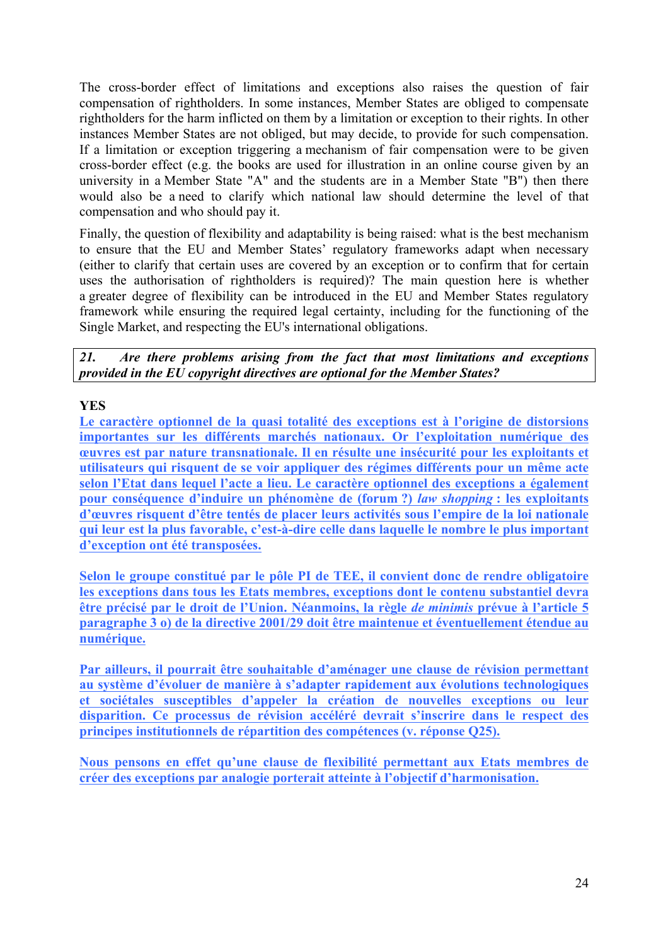The cross-border effect of limitations and exceptions also raises the question of fair compensation of rightholders. In some instances, Member States are obliged to compensate rightholders for the harm inflicted on them by a limitation or exception to their rights. In other instances Member States are not obliged, but may decide, to provide for such compensation. If a limitation or exception triggering a mechanism of fair compensation were to be given cross-border effect (e.g. the books are used for illustration in an online course given by an university in a Member State "A" and the students are in a Member State "B") then there would also be a need to clarify which national law should determine the level of that compensation and who should pay it.

Finally, the question of flexibility and adaptability is being raised: what is the best mechanism to ensure that the EU and Member States' regulatory frameworks adapt when necessary (either to clarify that certain uses are covered by an exception or to confirm that for certain uses the authorisation of rightholders is required)? The main question here is whether a greater degree of flexibility can be introduced in the EU and Member States regulatory framework while ensuring the required legal certainty, including for the functioning of the Single Market, and respecting the EU's international obligations.

*21. Are there problems arising from the fact that most limitations and exceptions provided in the EU copyright directives are optional for the Member States?* 

#### **YES**

**Le caractère optionnel de la quasi totalité des exceptions est à l'origine de distorsions importantes sur les différents marchés nationaux. Or l'exploitation numérique des œuvres est par nature transnationale. Il en résulte une insécurité pour les exploitants et utilisateurs qui risquent de se voir appliquer des régimes différents pour un même acte selon l'Etat dans lequel l'acte a lieu. Le caractère optionnel des exceptions a également pour conséquence d'induire un phénomène de (forum ?)** *law shopping* **: les exploitants d'œuvres risquent d'être tentés de placer leurs activités sous l'empire de la loi nationale qui leur est la plus favorable, c'est-à-dire celle dans laquelle le nombre le plus important d'exception ont été transposées.**

**Selon le groupe constitué par le pôle PI de TEE, il convient donc de rendre obligatoire les exceptions dans tous les Etats membres, exceptions dont le contenu substantiel devra être précisé par le droit de l'Union. Néanmoins, la règle** *de minimis* **prévue à l'article 5 paragraphe 3 o) de la directive 2001/29 doit être maintenue et éventuellement étendue au numérique.** 

**Par ailleurs, il pourrait être souhaitable d'aménager une clause de révision permettant au système d'évoluer de manière à s'adapter rapidement aux évolutions technologiques et sociétales susceptibles d'appeler la création de nouvelles exceptions ou leur disparition. Ce processus de révision accéléré devrait s'inscrire dans le respect des principes institutionnels de répartition des compétences (v. réponse Q25).** 

**Nous pensons en effet qu'une clause de flexibilité permettant aux Etats membres de créer des exceptions par analogie porterait atteinte à l'objectif d'harmonisation.**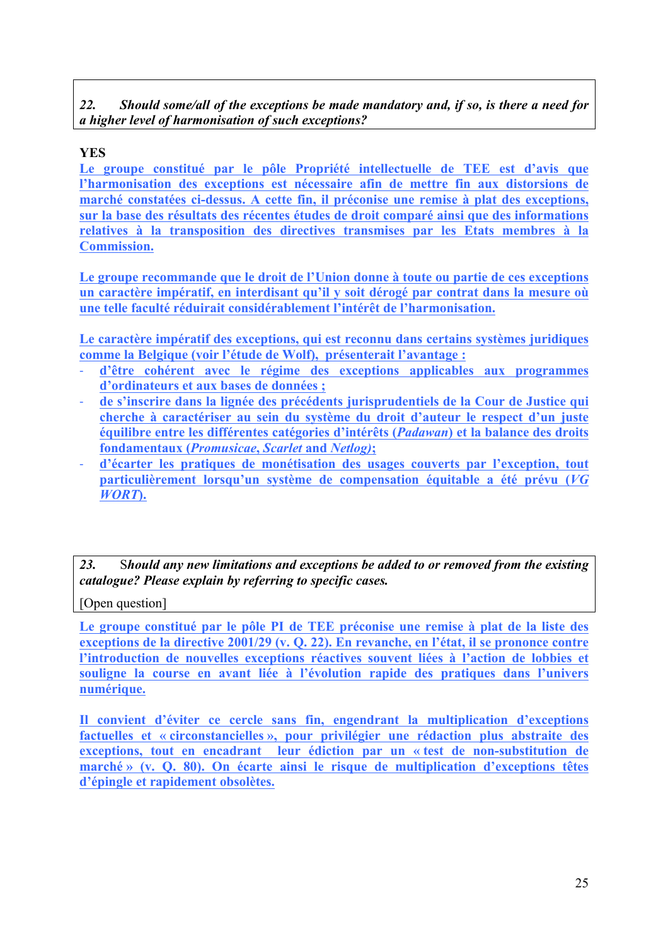#### *22. Should some/all of the exceptions be made mandatory and, if so, is there a need for a higher level of harmonisation of such exceptions?*

## **YES**

**Le groupe constitué par le pôle Propriété intellectuelle de TEE est d'avis que l'harmonisation des exceptions est nécessaire afin de mettre fin aux distorsions de marché constatées ci-dessus. A cette fin, il préconise une remise à plat des exceptions, sur la base des résultats des récentes études de droit comparé ainsi que des informations relatives à la transposition des directives transmises par les Etats membres à la Commission.**

**Le groupe recommande que le droit de l'Union donne à toute ou partie de ces exceptions un caractère impératif, en interdisant qu'il y soit dérogé par contrat dans la mesure où une telle faculté réduirait considérablement l'intérêt de l'harmonisation.** 

**Le caractère impératif des exceptions, qui est reconnu dans certains systèmes juridiques comme la Belgique (voir l'étude de Wolf), présenterait l'avantage :** 

- ! **d'être cohérent avec le régime des exceptions applicables aux programmes d'ordinateurs et aux bases de données ;**
- ! **de s'inscrire dans la lignée des précédents jurisprudentiels de la Cour de Justice qui cherche à caractériser au sein du système du droit d'auteur le respect d'un juste équilibre entre les différentes catégories d'intérêts (***Padawan***) et la balance des droits fondamentaux (***Promusicae***,** *Scarlet* **and** *Netlog)***;**
- ! **d'écarter les pratiques de monétisation des usages couverts par l'exception, tout particulièrement lorsqu'un système de compensation équitable a été prévu (***VG WORT***).**

*23.* S*hould any new limitations and exceptions be added to or removed from the existing catalogue? Please explain by referring to specific cases.*

[Open question]

**Le groupe constitué par le pôle PI de TEE préconise une remise à plat de la liste des exceptions de la directive 2001/29 (v. Q. 22). En revanche, en l'état, il se prononce contre l'introduction de nouvelles exceptions réactives souvent liées à l'action de lobbies et souligne la course en avant liée à l'évolution rapide des pratiques dans l'univers numérique.** 

**Il convient d'éviter ce cercle sans fin, engendrant la multiplication d'exceptions factuelles et « circonstancielles », pour privilégier une rédaction plus abstraite des exceptions, tout en encadrant leur édiction par un « test de non-substitution de marché » (v. Q. 80). On écarte ainsi le risque de multiplication d'exceptions têtes d'épingle et rapidement obsolètes.**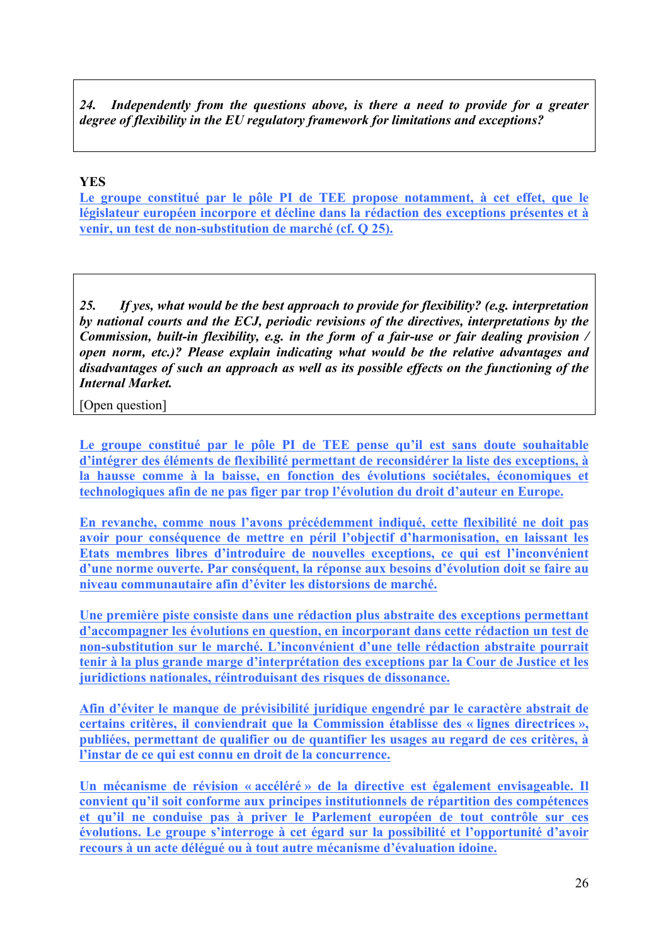*24. Independently from the questions above, is there a need to provide for a greater degree of flexibility in the EU regulatory framework for limitations and exceptions?*

#### **YES**

**Le groupe constitué par le pôle PI de TEE propose notamment, à cet effet, que le législateur européen incorpore et décline dans la rédaction des exceptions présentes et à venir, un test de non-substitution de marché (cf. Q 25).**

*25. If yes, what would be the best approach to provide for flexibility? (e.g. interpretation by national courts and the ECJ, periodic revisions of the directives, interpretations by the Commission, built-in flexibility, e.g. in the form of a fair-use or fair dealing provision / open norm, etc.)? Please explain indicating what would be the relative advantages and disadvantages of such an approach as well as its possible effects on the functioning of the Internal Market.*

[Open question]

**Le groupe constitué par le pôle PI de TEE pense qu'il est sans doute souhaitable d'intégrer des éléments de flexibilité permettant de reconsidérer la liste des exceptions, à la hausse comme à la baisse, en fonction des évolutions sociétales, économiques et technologiques afin de ne pas figer par trop l'évolution du droit d'auteur en Europe.** 

**En revanche, comme nous l'avons précédemment indiqué, cette flexibilité ne doit pas avoir pour conséquence de mettre en péril l'objectif d'harmonisation, en laissant les Etats membres libres d'introduire de nouvelles exceptions, ce qui est l'inconvénient d'une norme ouverte. Par conséquent, la réponse aux besoins d'évolution doit se faire au niveau communautaire afin d'éviter les distorsions de marché.** 

**Une première piste consiste dans une rédaction plus abstraite des exceptions permettant d'accompagner les évolutions en question, en incorporant dans cette rédaction un test de non-substitution sur le marché. L'inconvénient d'une telle rédaction abstraite pourrait tenir à la plus grande marge d'interprétation des exceptions par la Cour de Justice et les juridictions nationales, réintroduisant des risques de dissonance.** 

**Afin d'éviter le manque de prévisibilité juridique engendré par le caractère abstrait de certains critères, il conviendrait que la Commission établisse des « lignes directrices », publiées, permettant de qualifier ou de quantifier les usages au regard de ces critères, à l'instar de ce qui est connu en droit de la concurrence.**

**Un mécanisme de révision « accéléré » de la directive est également envisageable. Il convient qu'il soit conforme aux principes institutionnels de répartition des compétences et qu'il ne conduise pas à priver le Parlement européen de tout contrôle sur ces évolutions. Le groupe s'interroge à cet égard sur la possibilité et l'opportunité d'avoir recours à un acte délégué ou à tout autre mécanisme d'évaluation idoine.**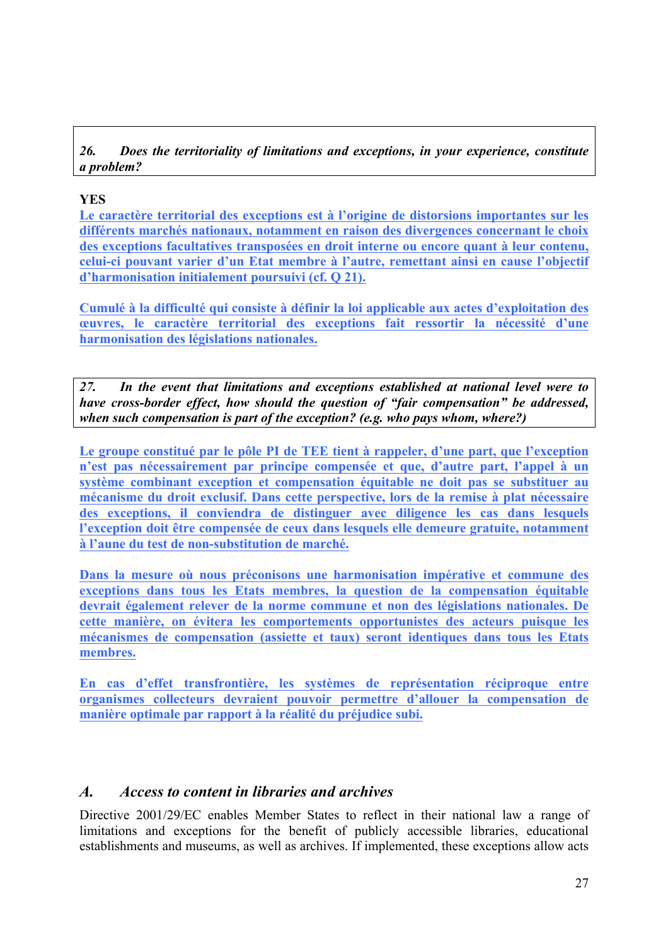*26. Does the territoriality of limitations and exceptions, in your experience, constitute a problem?*

#### **YES**

**Le caractère territorial des exceptions est à l'origine de distorsions importantes sur les différents marchés nationaux, notamment en raison des divergences concernant le choix des exceptions facultatives transposées en droit interne ou encore quant à leur contenu, celui-ci pouvant varier d'un Etat membre à l'autre, remettant ainsi en cause l'objectif d'harmonisation initialement poursuivi (cf. Q 21).**

**Cumulé à la difficulté qui consiste à définir la loi applicable aux actes d'exploitation des œuvres, le caractère territorial des exceptions fait ressortir la nécessité d'une harmonisation des législations nationales.**

*27. In the event that limitations and exceptions established at national level were to have cross-border effect, how should the question of "fair compensation" be addressed, when such compensation is part of the exception? (e.g. who pays whom, where?)*

**Le groupe constitué par le pôle PI de TEE tient à rappeler, d'une part, que l'exception n'est pas nécessairement par principe compensée et que, d'autre part, l'appel à un système combinant exception et compensation équitable ne doit pas se substituer au mécanisme du droit exclusif. Dans cette perspective, lors de la remise à plat nécessaire des exceptions, il conviendra de distinguer avec diligence les cas dans lesquels l'exception doit être compensée de ceux dans lesquels elle demeure gratuite, notamment à l'aune du test de non-substitution de marché.** 

**Dans la mesure où nous préconisons une harmonisation impérative et commune des exceptions dans tous les Etats membres, la question de la compensation équitable devrait également relever de la norme commune et non des législations nationales. De cette manière, on évitera les comportements opportunistes des acteurs puisque les mécanismes de compensation (assiette et taux) seront identiques dans tous les Etats membres.** 

**En cas d'effet transfrontière, les systèmes de représentation réciproque entre organismes collecteurs devraient pouvoir permettre d'allouer la compensation de manière optimale par rapport à la réalité du préjudice subi.** 

#### *A. Access to content in libraries and archives*

Directive 2001/29/EC enables Member States to reflect in their national law a range of limitations and exceptions for the benefit of publicly accessible libraries, educational establishments and museums, as well as archives. If implemented, these exceptions allow acts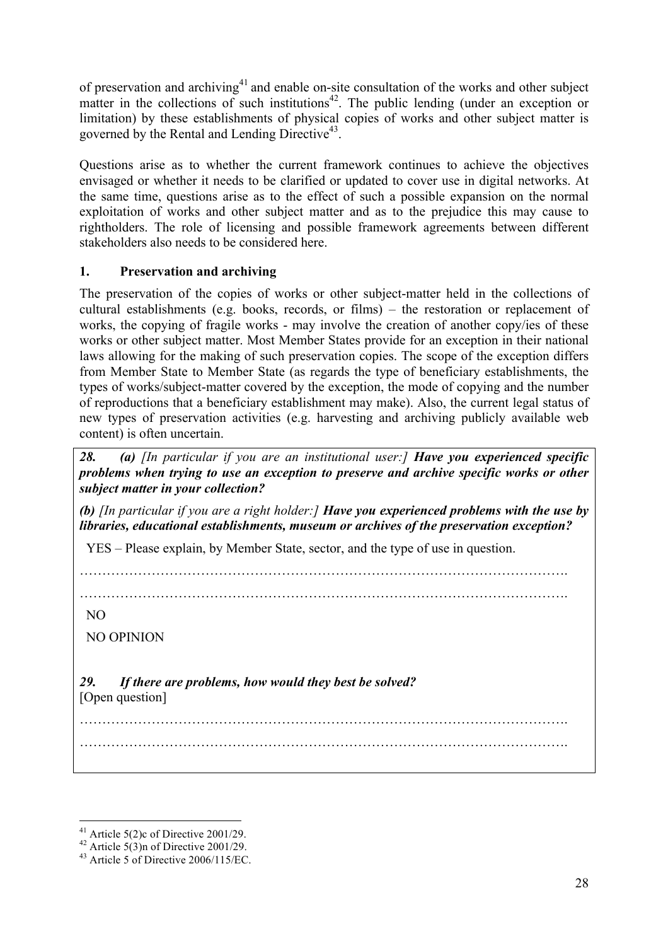of preservation and archiving<sup>41</sup> and enable on-site consultation of the works and other subject matter in the collections of such institutions<sup>42</sup>. The public lending (under an exception or limitation) by these establishments of physical copies of works and other subject matter is governed by the Rental and Lending Directive $43$ .

Questions arise as to whether the current framework continues to achieve the objectives envisaged or whether it needs to be clarified or updated to cover use in digital networks. At the same time, questions arise as to the effect of such a possible expansion on the normal exploitation of works and other subject matter and as to the prejudice this may cause to rightholders. The role of licensing and possible framework agreements between different stakeholders also needs to be considered here.

#### **1. Preservation and archiving**

The preservation of the copies of works or other subject-matter held in the collections of cultural establishments (e.g. books, records, or films) – the restoration or replacement of works, the copying of fragile works - may involve the creation of another copy/ies of these works or other subject matter. Most Member States provide for an exception in their national laws allowing for the making of such preservation copies. The scope of the exception differs from Member State to Member State (as regards the type of beneficiary establishments, the types of works/subject-matter covered by the exception, the mode of copying and the number of reproductions that a beneficiary establishment may make). Also, the current legal status of new types of preservation activities (e.g. harvesting and archiving publicly available web content) is often uncertain.

*28. (a) [In particular if you are an institutional user:] Have you experienced specific problems when trying to use an exception to preserve and archive specific works or other subject matter in your collection?*

*(b) [In particular if you are a right holder:] Have you experienced problems with the use by libraries, educational establishments, museum or archives of the preservation exception?* 

YES – Please explain, by Member State, sector, and the type of use in question.

……………………………………………………………………………………………….

………………………………………………………………………………………………. ……………………………………………………………………………………………….

NO

NO OPINION

*29. If there are problems, how would they best be solved?* [Open question]

<sup>&</sup>lt;sup>41</sup> Article 5(2)c of Directive 2001/29.<br><sup>42</sup> Article 5(3)n of Directive 2001/29.<br><sup>43</sup> Article 5 of Directive 2006/115/EC.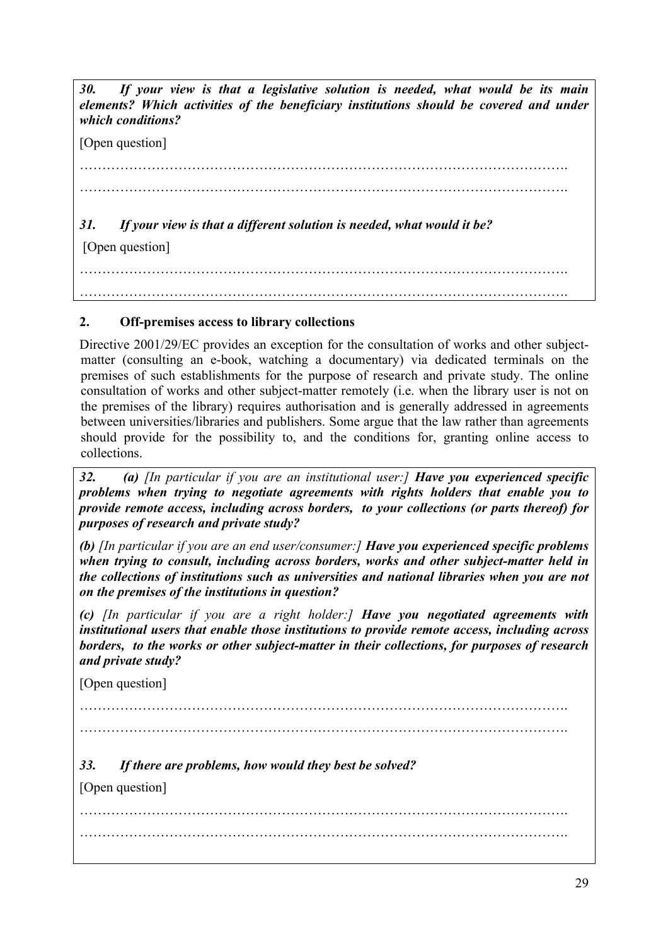*30. If your view is that a legislative solution is needed, what would be its main elements? Which activities of the beneficiary institutions should be covered and under which conditions?*

[Open question]

………………………………………………………………………………………………. ………………………………………………………………………………………………. *31. If your view is that a different solution is needed, what would it be?* [Open question] ……………………………………………………………………………………………….

……………………………………………………………………………………………….

#### **2. Off-premises access to library collections**

Directive 2001/29/EC provides an exception for the consultation of works and other subjectmatter (consulting an e-book, watching a documentary) via dedicated terminals on the premises of such establishments for the purpose of research and private study. The online consultation of works and other subject-matter remotely (i.e. when the library user is not on the premises of the library) requires authorisation and is generally addressed in agreements between universities/libraries and publishers. Some argue that the law rather than agreements should provide for the possibility to, and the conditions for, granting online access to collections.

*32. (a) [In particular if you are an institutional user:] Have you experienced specific problems when trying to negotiate agreements with rights holders that enable you to provide remote access, including across borders, to your collections (or parts thereof) for purposes of research and private study?* 

*(b) [In particular if you are an end user/consumer:] Have you experienced specific problems when trying to consult, including across borders, works and other subject-matter held in the collections of institutions such as universities and national libraries when you are not on the premises of the institutions in question?*

*(c) [In particular if you are a right holder:] Have you negotiated agreements with institutional users that enable those institutions to provide remote access, including across borders, to the works or other subject-matter in their collections, for purposes of research and private study?*

[Open question]

……………………………………………………………………………………………….

……………………………………………………………………………………………….

*33. If there are problems, how would they best be solved?*

[Open question]

………………………………………………………………………………………………. ……………………………………………………………………………………………….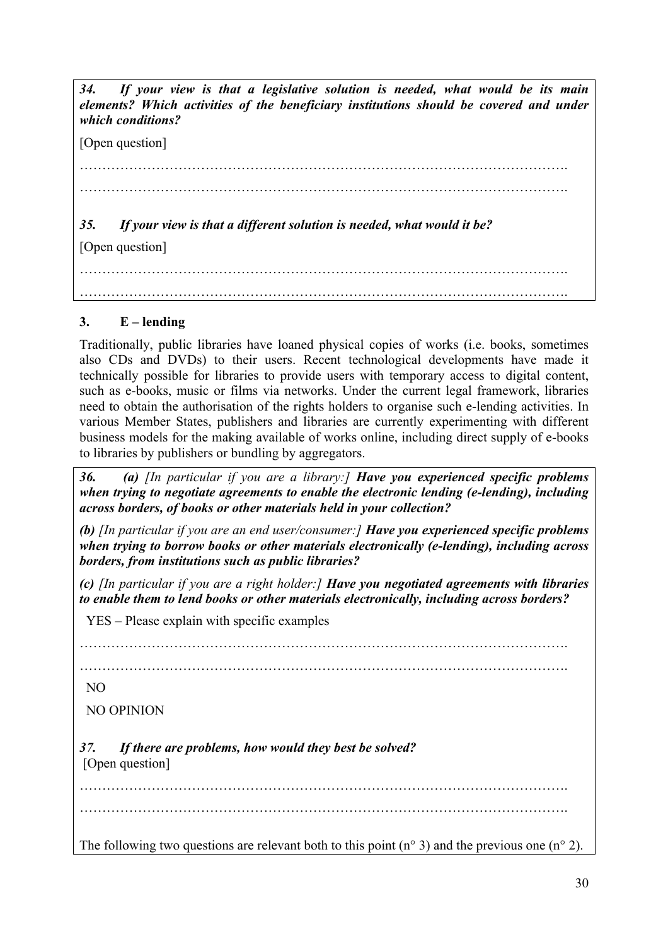*34. If your view is that a legislative solution is needed, what would be its main elements? Which activities of the beneficiary institutions should be covered and under which conditions?*

[Open question]

………………………………………………………………………………………………. ……………………………………………………………………………………………….

*35. If your view is that a different solution is needed, what would it be?*

[Open question]

………………………………………………………………………………………………. ……………………………………………………………………………………………….

## **3. E – lending**

Traditionally, public libraries have loaned physical copies of works (i.e. books, sometimes also CDs and DVDs) to their users. Recent technological developments have made it technically possible for libraries to provide users with temporary access to digital content, such as e-books, music or films via networks. Under the current legal framework, libraries need to obtain the authorisation of the rights holders to organise such e-lending activities. In various Member States, publishers and libraries are currently experimenting with different business models for the making available of works online, including direct supply of e-books to libraries by publishers or bundling by aggregators.

*36. (a) [In particular if you are a library:] Have you experienced specific problems when trying to negotiate agreements to enable the electronic lending (e-lending), including across borders, of books or other materials held in your collection?*

*(b) [In particular if you are an end user/consumer:] Have you experienced specific problems when trying to borrow books or other materials electronically (e-lending), including across borders, from institutions such as public libraries?* 

*(c) [In particular if you are a right holder:] Have you negotiated agreements with libraries to enable them to lend books or other materials electronically, including across borders?*

YES – Please explain with specific examples

……………………………………………………………………………………………….

……………………………………………………………………………………………….

NO

NO OPINION

*37. If there are problems, how would they best be solved?*  [Open question]

………………………………………………………………………………………………. ……………………………………………………………………………………………….

The following two questions are relevant both to this point  $(n^{\circ} 3)$  and the previous one  $(n^{\circ} 2)$ .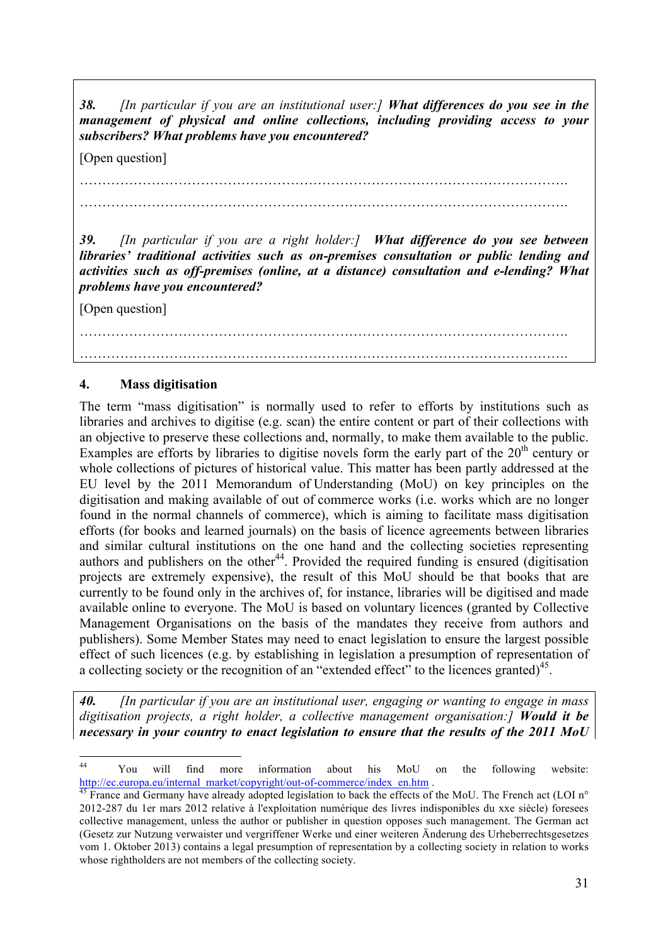*38. [In particular if you are an institutional user:] What differences do you see in the management of physical and online collections, including providing access to your subscribers? What problems have you encountered?*

[Open question]

………………………………………………………………………………………………. ……………………………………………………………………………………………….

*39. [In particular if you are a right holder:] What difference do you see between libraries' traditional activities such as on-premises consultation or public lending and activities such as off-premises (online, at a distance) consultation and e-lending? What problems have you encountered?*

[Open question]

………………………………………………………………………………………………. ……………………………………………………………………………………………….

#### **4. Mass digitisation**

The term "mass digitisation" is normally used to refer to efforts by institutions such as libraries and archives to digitise (e.g. scan) the entire content or part of their collections with an objective to preserve these collections and, normally, to make them available to the public. Examples are efforts by libraries to digitise novels form the early part of the  $20<sup>th</sup>$  century or whole collections of pictures of historical value. This matter has been partly addressed at the EU level by the 2011 Memorandum of Understanding (MoU) on key principles on the digitisation and making available of out of commerce works (i.e. works which are no longer found in the normal channels of commerce), which is aiming to facilitate mass digitisation efforts (for books and learned journals) on the basis of licence agreements between libraries and similar cultural institutions on the one hand and the collecting societies representing authors and publishers on the other<sup>44</sup>. Provided the required funding is ensured (digitisation projects are extremely expensive), the result of this MoU should be that books that are currently to be found only in the archives of, for instance, libraries will be digitised and made available online to everyone. The MoU is based on voluntary licences (granted by Collective Management Organisations on the basis of the mandates they receive from authors and publishers). Some Member States may need to enact legislation to ensure the largest possible effect of such licences (e.g. by establishing in legislation a presumption of representation of a collecting society or the recognition of an "extended effect" to the licences granted)<sup>45</sup>.

*40. [In particular if you are an institutional user, engaging or wanting to engage in mass digitisation projects, a right holder, a collective management organisation:] Would it be necessary in your country to enact legislation to ensure that the results of the 2011 MoU* 

 <sup>44</sup> You will find more information about his MoU on the following website:

http://ec.europa.eu/internal\_market/copyright/out-of-commerce/index\_en.htm .<br><sup>45</sup> France and Germany have already adopted legislation to back the effects of the MoU. The French act (LOI n° 2012-287 du 1er mars 2012 relative à l'exploitation numérique des livres indisponibles du xxe siècle) foresees collective management, unless the author or publisher in question opposes such management. The German act (Gesetz zur Nutzung verwaister und vergriffener Werke und einer weiteren Änderung des Urheberrechtsgesetzes vom 1. Oktober 2013) contains a legal presumption of representation by a collecting society in relation to works whose rightholders are not members of the collecting society.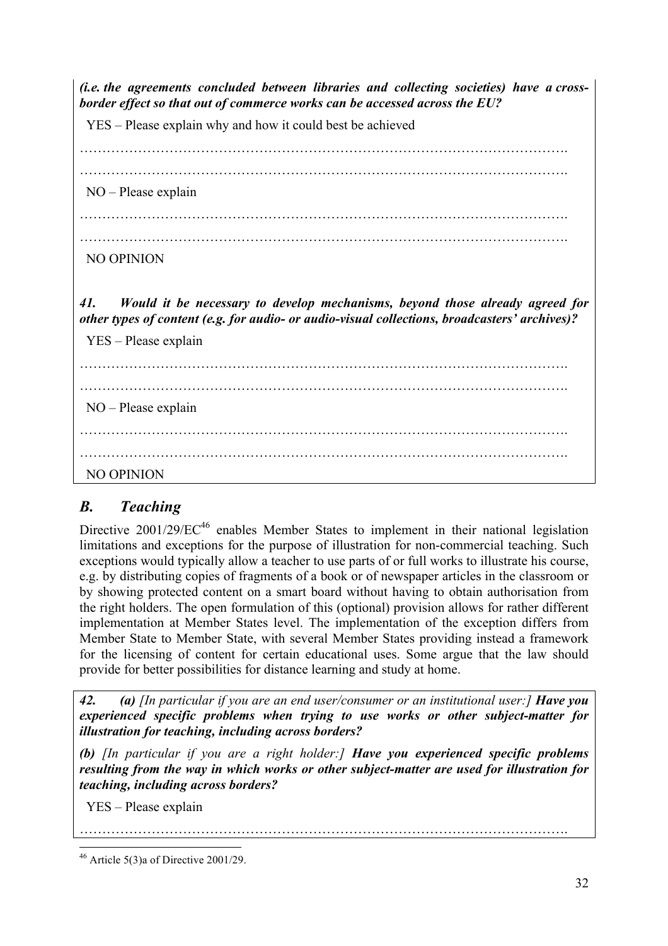*(i.e. the agreements concluded between libraries and collecting societies) have a crossborder effect so that out of commerce works can be accessed across the EU?* 

YES – Please explain why and how it could best be achieved

………………………………………………………………………………………………. ……………………………………………………………………………………………….

NO – Please explain

……………………………………………………………………………………………….

NO OPINION

*41. Would it be necessary to develop mechanisms, beyond those already agreed for other types of content (e.g. for audio- or audio-visual collections, broadcasters' archives)?*

YES – Please explain

 NO – Please explain NO OPINION

# *B. Teaching*

Directive 2001/29/EC<sup>46</sup> enables Member States to implement in their national legislation limitations and exceptions for the purpose of illustration for non-commercial teaching. Such exceptions would typically allow a teacher to use parts of or full works to illustrate his course, e.g. by distributing copies of fragments of a book or of newspaper articles in the classroom or by showing protected content on a smart board without having to obtain authorisation from the right holders. The open formulation of this (optional) provision allows for rather different implementation at Member States level. The implementation of the exception differs from Member State to Member State, with several Member States providing instead a framework for the licensing of content for certain educational uses. Some argue that the law should provide for better possibilities for distance learning and study at home.

*42. (a) [In particular if you are an end user/consumer or an institutional user:] Have you experienced specific problems when trying to use works or other subject-matter for illustration for teaching, including across borders?* 

*(b) [In particular if you are a right holder:] Have you experienced specific problems resulting from the way in which works or other subject-matter are used for illustration for teaching, including across borders?*

……………………………………………………………………………………………….

YES – Please explain

 $46$  Article 5(3)a of Directive 2001/29.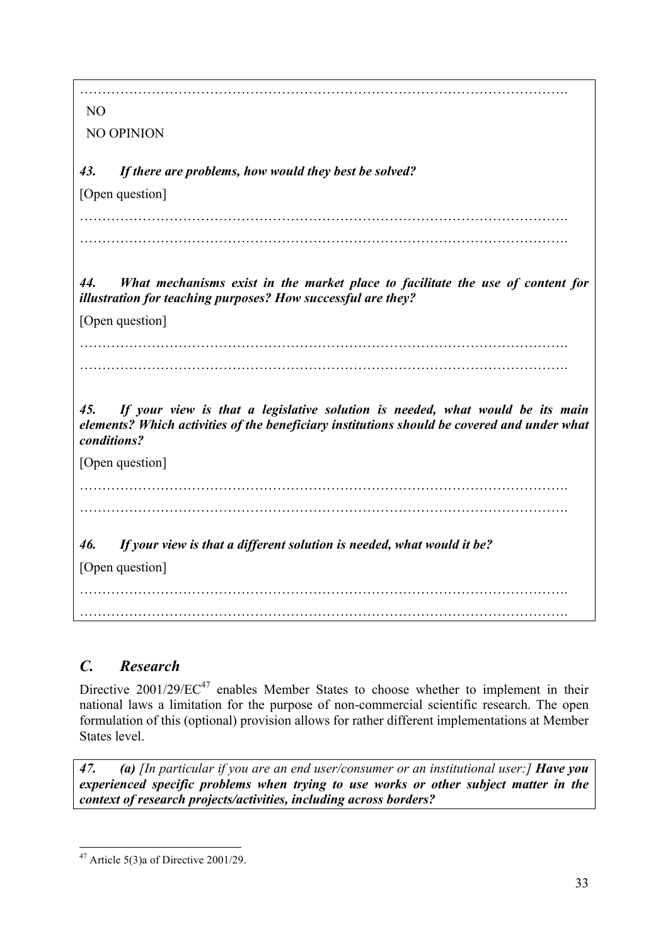………………………………………………………………………………………………. NO NO OPINION *43. If there are problems, how would they best be solved?*  [Open question] ………………………………………………………………………………………………. ………………………………………………………………………………………………. *44. What mechanisms exist in the market place to facilitate the use of content for illustration for teaching purposes? How successful are they?*  [Open question] *45. If your view is that a legislative solution is needed, what would be its main elements? Which activities of the beneficiary institutions should be covered and under what conditions?* [Open question] ………………………………………………………………………………………………. ………………………………………………………………………………………………. *46. If your view is that a different solution is needed, what would it be?* [Open question] ……………………………………………………………………………………………….

*C. Research*

Directive  $2001/29/EC^{47}$  enables Member States to choose whether to implement in their national laws a limitation for the purpose of non-commercial scientific research. The open formulation of this (optional) provision allows for rather different implementations at Member States level.

……………………………………………………………………………………………….

*47. (a) [In particular if you are an end user/consumer or an institutional user:] Have you experienced specific problems when trying to use works or other subject matter in the context of research projects/activities, including across borders?* 

 $47$  Article 5(3)a of Directive 2001/29.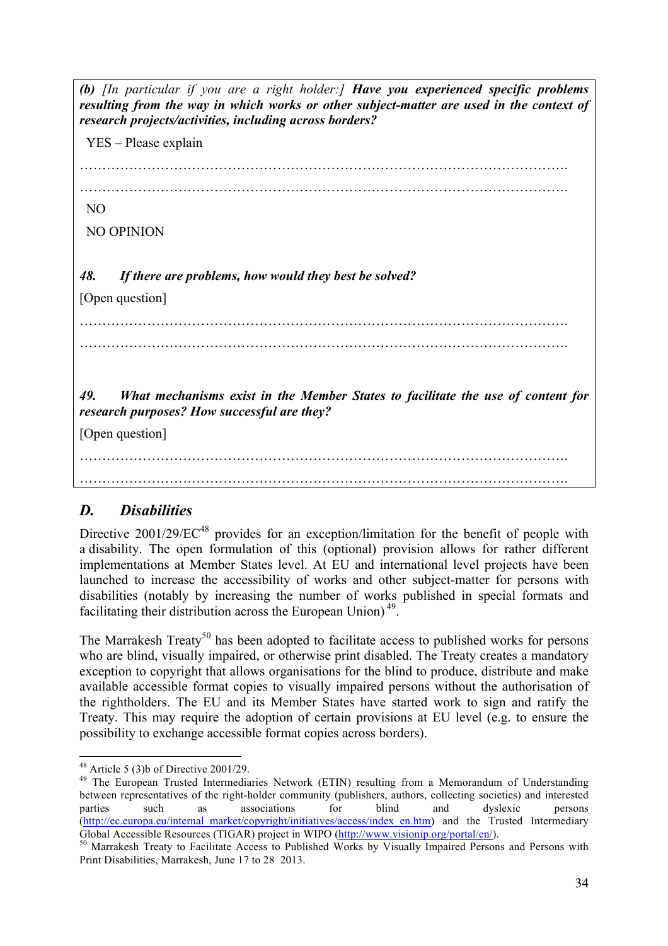*(b) [In particular if you are a right holder:] Have you experienced specific problems resulting from the way in which works or other subject-matter are used in the context of research projects/activities, including across borders?* YES – Please explain ………………………………………………………………………………………………. ……………………………………………………………………………………………….

NO

NO OPINION

*48. If there are problems, how would they best be solved?* 

[Open question]

………………………………………………………………………………………………. ……………………………………………………………………………………………….

*49. What mechanisms exist in the Member States to facilitate the use of content for research purposes? How successful are they?* 

[Open question]

………………………………………………………………………………………………. ……………………………………………………………………………………………….

# *D. Disabilities*

Directive  $2001/29/EC^{48}$  provides for an exception/limitation for the benefit of people with a disability. The open formulation of this (optional) provision allows for rather different implementations at Member States level. At EU and international level projects have been launched to increase the accessibility of works and other subject-matter for persons with disabilities (notably by increasing the number of works published in special formats and facilitating their distribution across the European Union) 49.

The Marrakesh Treaty<sup>50</sup> has been adopted to facilitate access to published works for persons who are blind, visually impaired, or otherwise print disabled. The Treaty creates a mandatory exception to copyright that allows organisations for the blind to produce, distribute and make available accessible format copies to visually impaired persons without the authorisation of the rightholders. The EU and its Member States have started work to sign and ratify the Treaty. This may require the adoption of certain provisions at EU level (e.g. to ensure the possibility to exchange accessible format copies across borders).

<sup>&</sup>lt;sup>48</sup> Article 5 (3)b of Directive 2001/29.<br><sup>49</sup> The European Trusted Intermediaries Network (ETIN) resulting from a Memorandum of Understanding between representatives of the right-holder community (publishers, authors, collecting societies) and interested parties such as associations for blind and dyslexic persons (http://ec.europa.eu/internal\_market/copyright/initiatives/access/index\_en.htm) and the Trusted Intermediary Global Accessible Resources (TIGAR) project in WIPO (http://www.visionip.org/portal/en/).<br><sup>50</sup> Marrakesh Treaty to Facilitate Access to Published Works by Visually Impaired Persons and Persons with

Print Disabilities, Marrakesh, June 17 to 28 2013.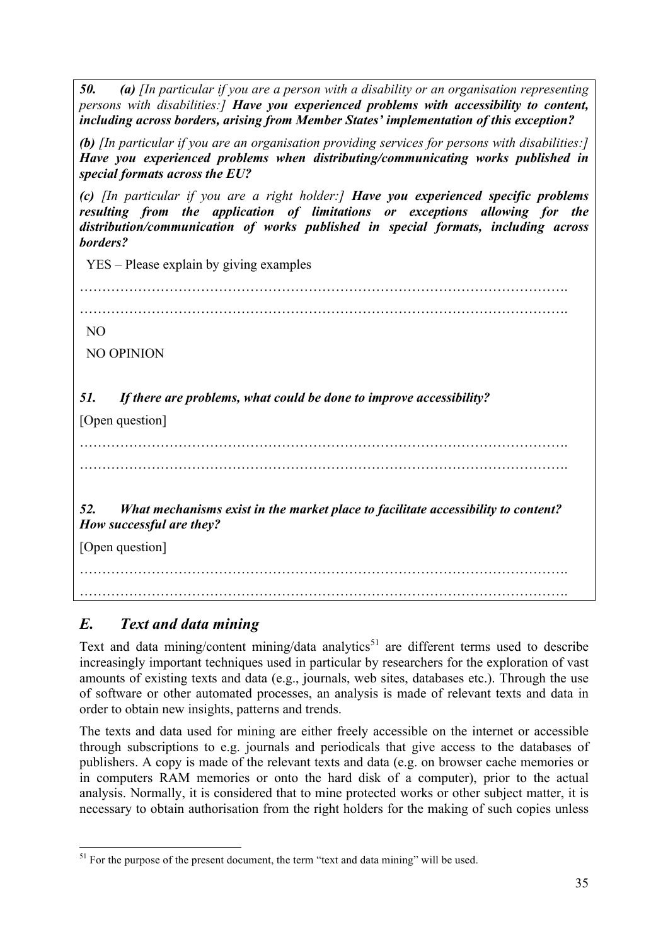*50. (a) [In particular if you are a person with a disability or an organisation representing persons with disabilities:] Have you experienced problems with accessibility to content, including across borders, arising from Member States' implementation of this exception?* 

*(b) [In particular if you are an organisation providing services for persons with disabilities:] Have you experienced problems when distributing/communicating works published in special formats across the EU?*

*(c) [In particular if you are a right holder:] Have you experienced specific problems resulting from the application of limitations or exceptions allowing for the distribution/communication of works published in special formats, including across borders?*

YES – Please explain by giving examples

……………………………………………………………………………………………….

NO

NO OPINION

*51. If there are problems, what could be done to improve accessibility?*

[Open question]

………………………………………………………………………………………………. ……………………………………………………………………………………………….

*52. What mechanisms exist in the market place to facilitate accessibility to content? How successful are they?*

[Open question]

………………………………………………………………………………………………. ……………………………………………………………………………………………….

*E. Text and data mining*

Text and data mining/content mining/data analytics<sup>51</sup> are different terms used to describe increasingly important techniques used in particular by researchers for the exploration of vast amounts of existing texts and data (e.g., journals, web sites, databases etc.). Through the use of software or other automated processes, an analysis is made of relevant texts and data in order to obtain new insights, patterns and trends.

The texts and data used for mining are either freely accessible on the internet or accessible through subscriptions to e.g. journals and periodicals that give access to the databases of publishers. A copy is made of the relevant texts and data (e.g. on browser cache memories or in computers RAM memories or onto the hard disk of a computer), prior to the actual analysis. Normally, it is considered that to mine protected works or other subject matter, it is necessary to obtain authorisation from the right holders for the making of such copies unless

<sup>&</sup>lt;sup>51</sup> For the purpose of the present document, the term "text and data mining" will be used.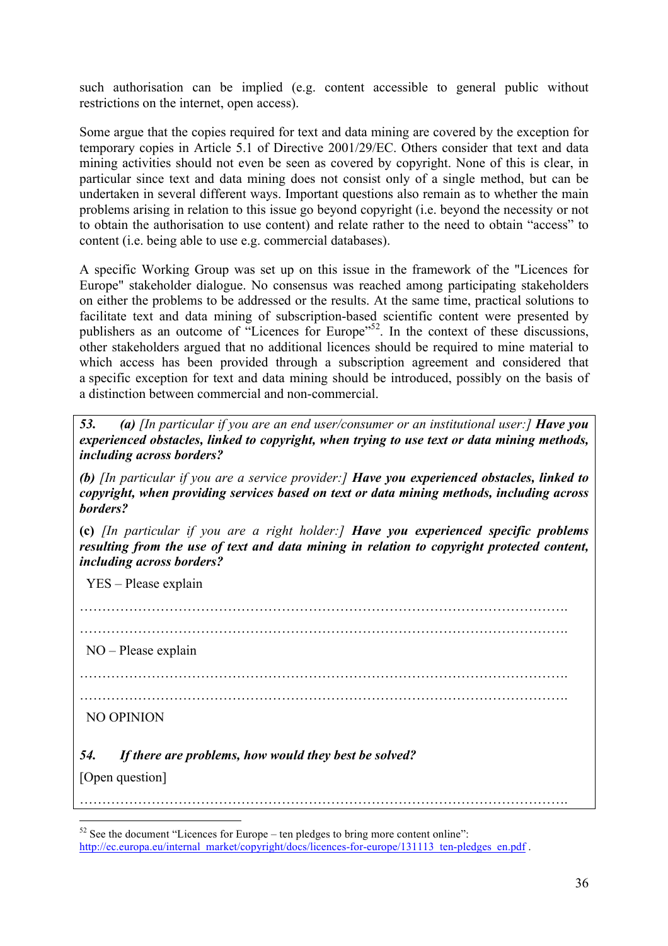such authorisation can be implied (e.g. content accessible to general public without restrictions on the internet, open access).

Some argue that the copies required for text and data mining are covered by the exception for temporary copies in Article 5.1 of Directive 2001/29/EC. Others consider that text and data mining activities should not even be seen as covered by copyright. None of this is clear, in particular since text and data mining does not consist only of a single method, but can be undertaken in several different ways. Important questions also remain as to whether the main problems arising in relation to this issue go beyond copyright (i.e. beyond the necessity or not to obtain the authorisation to use content) and relate rather to the need to obtain "access" to content (i.e. being able to use e.g. commercial databases).

A specific Working Group was set up on this issue in the framework of the "Licences for Europe" stakeholder dialogue. No consensus was reached among participating stakeholders on either the problems to be addressed or the results. At the same time, practical solutions to facilitate text and data mining of subscription-based scientific content were presented by publishers as an outcome of "Licences for Europe"<sup>52</sup>. In the context of these discussions, other stakeholders argued that no additional licences should be required to mine material to which access has been provided through a subscription agreement and considered that a specific exception for text and data mining should be introduced, possibly on the basis of a distinction between commercial and non-commercial.

*53. (a) [In particular if you are an end user/consumer or an institutional user:] Have you experienced obstacles, linked to copyright, when trying to use text or data mining methods, including across borders?*

*(b) [In particular if you are a service provider:] Have you experienced obstacles, linked to copyright, when providing services based on text or data mining methods, including across borders?*

**(c)** *[In particular if you are a right holder:] Have you experienced specific problems resulting from the use of text and data mining in relation to copyright protected content, including across borders?*

YES – Please explain

………………………………………………………………………………………………. ………………………………………………………………………………………………. NO – Please explain ………………………………………………………………………………………………. ………………………………………………………………………………………………. NO OPINION *54. If there are problems, how would they best be solved?*  [Open question] ……………………………………………………………………………………………….

 <sup>52</sup> See the document "Licences for Europe – ten pledges to bring more content online": http://ec.europa.eu/internal\_market/copyright/docs/licences-for-europe/131113\_ten-pledges\_en.pdf .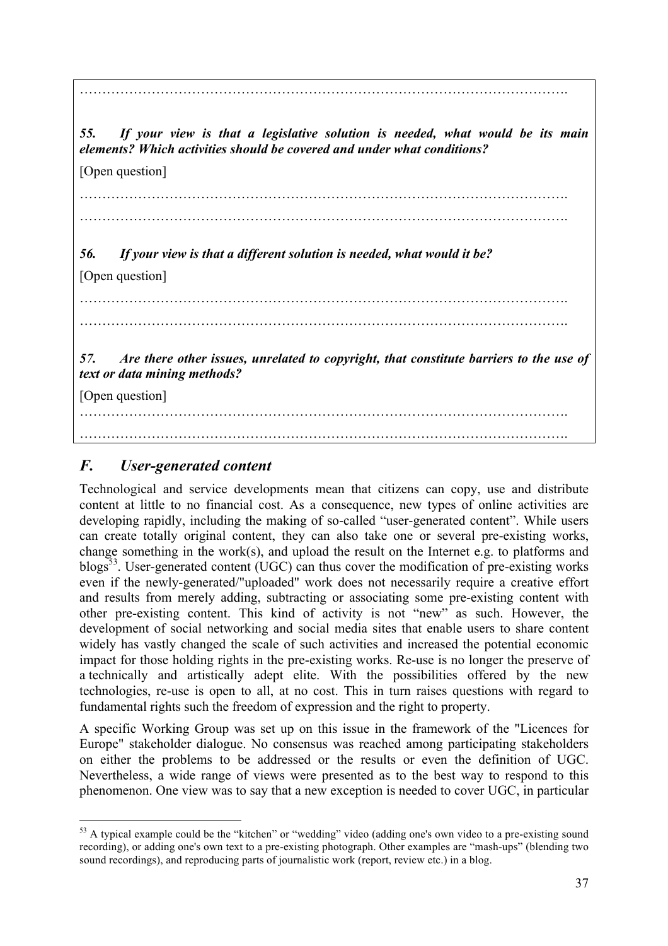*55. If your view is that a legislative solution is needed, what would be its main elements? Which activities should be covered and under what conditions?*

[Open question]

……………………………………………………………………………………………….

……………………………………………………………………………………………….

……………………………………………………………………………………………….

*56. If your view is that a different solution is needed, what would it be?*

[Open question]

……………………………………………………………………………………………….

……………………………………………………………………………………………….

*57. Are there other issues, unrelated to copyright, that constitute barriers to the use of text or data mining methods?*

[Open question]

………………………………………………………………………………………………. ……………………………………………………………………………………………….

# *F. User-generated content*

Technological and service developments mean that citizens can copy, use and distribute content at little to no financial cost. As a consequence, new types of online activities are developing rapidly, including the making of so-called "user-generated content". While users can create totally original content, they can also take one or several pre-existing works, change something in the work(s), and upload the result on the Internet e.g. to platforms and blogs<sup>53</sup>. User-generated content (UGC) can thus cover the modification of pre-existing works even if the newly-generated/"uploaded" work does not necessarily require a creative effort and results from merely adding, subtracting or associating some pre-existing content with other pre-existing content. This kind of activity is not "new" as such. However, the development of social networking and social media sites that enable users to share content widely has vastly changed the scale of such activities and increased the potential economic impact for those holding rights in the pre-existing works. Re-use is no longer the preserve of a technically and artistically adept elite. With the possibilities offered by the new technologies, re-use is open to all, at no cost. This in turn raises questions with regard to fundamental rights such the freedom of expression and the right to property.

A specific Working Group was set up on this issue in the framework of the "Licences for Europe" stakeholder dialogue. No consensus was reached among participating stakeholders on either the problems to be addressed or the results or even the definition of UGC. Nevertheless, a wide range of views were presented as to the best way to respond to this phenomenon. One view was to say that a new exception is needed to cover UGC, in particular

<sup>&</sup>lt;sup>53</sup> A typical example could be the "kitchen" or "wedding" video (adding one's own video to a pre-existing sound recording), or adding one's own text to a pre-existing photograph. Other examples are "mash-ups" (blending two sound recordings), and reproducing parts of journalistic work (report, review etc.) in a blog.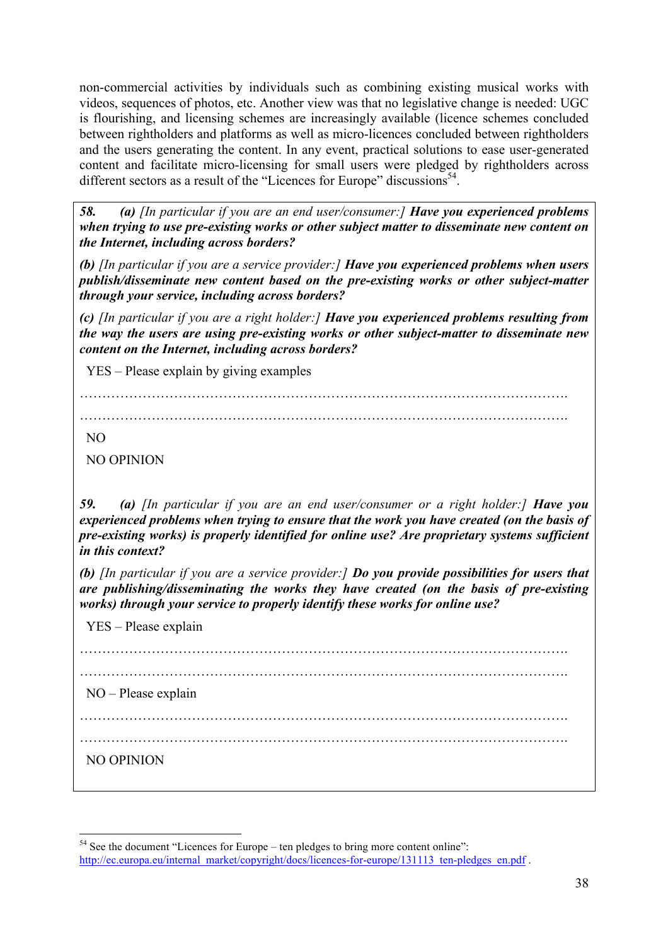non-commercial activities by individuals such as combining existing musical works with videos, sequences of photos, etc. Another view was that no legislative change is needed: UGC is flourishing, and licensing schemes are increasingly available (licence schemes concluded between rightholders and platforms as well as micro-licences concluded between rightholders and the users generating the content. In any event, practical solutions to ease user-generated content and facilitate micro-licensing for small users were pledged by rightholders across different sectors as a result of the "Licences for Europe" discussions $54$ .

*58. (a) [In particular if you are an end user/consumer:] Have you experienced problems when trying to use pre-existing works or other subject matter to disseminate new content on the Internet, including across borders?* 

*(b) [In particular if you are a service provider:] Have you experienced problems when users publish/disseminate new content based on the pre-existing works or other subject-matter through your service, including across borders?*

*(c) [In particular if you are a right holder:] Have you experienced problems resulting from the way the users are using pre-existing works or other subject-matter to disseminate new content on the Internet, including across borders?*

YES – Please explain by giving examples

……………………………………………………………………………………………….

……………………………………………………………………………………………….

NO

NO OPINION

*59. (a) [In particular if you are an end user/consumer or a right holder:] Have you experienced problems when trying to ensure that the work you have created (on the basis of pre-existing works) is properly identified for online use? Are proprietary systems sufficient in this context?*

*(b) [In particular if you are a service provider:] Do you provide possibilities for users that are publishing/disseminating the works they have created (on the basis of pre-existing works) through your service to properly identify these works for online use?* 

YES – Please explain

………………………………………………………………………………………………. ………………………………………………………………………………………………. NO – Please explain ………………………………………………………………………………………………. ………………………………………………………………………………………………. NO OPINION

 <sup>54</sup> See the document "Licences for Europe – ten pledges to bring more content online": http://ec.europa.eu/internal\_market/copyright/docs/licences-for-europe/131113\_ten-pledges\_en.pdf .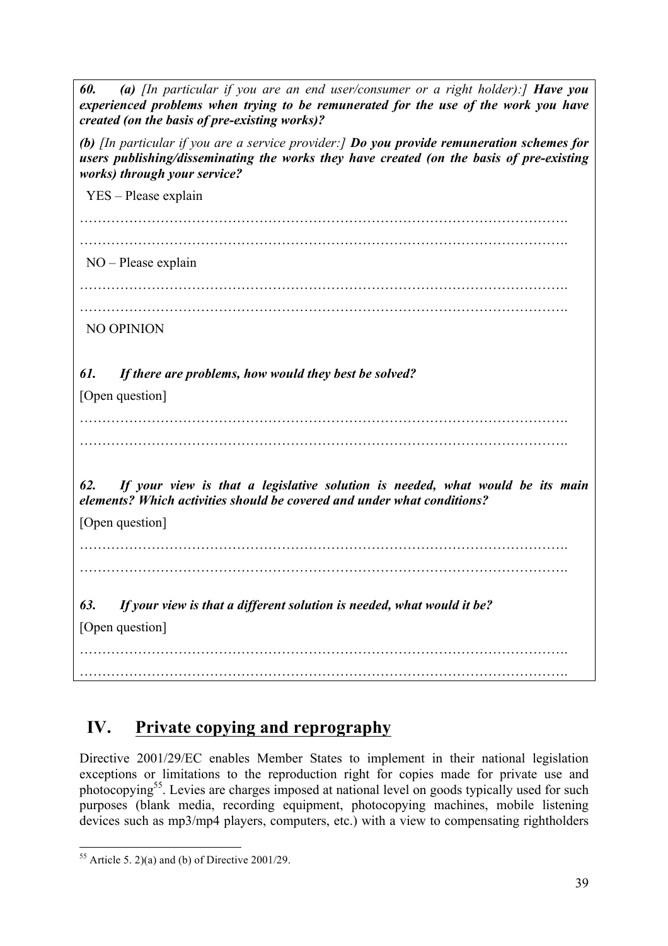*60. (a) [In particular if you are an end user/consumer or a right holder):] Have you experienced problems when trying to be remunerated for the use of the work you have created (on the basis of pre-existing works)? (b) [In particular if you are a service provider:] Do you provide remuneration schemes for users publishing/disseminating the works they have created (on the basis of pre-existing works) through your service?* YES – Please explain ………………………………………………………………………………………………. NO – Please explain ………………………………………………………………………………………………. ………………………………………………………………………………………………. NO OPINION *61. If there are problems, how would they best be solved?* [Open question] ………………………………………………………………………………………………. ………………………………………………………………………………………………. *62. If your view is that a legislative solution is needed, what would be its main elements? Which activities should be covered and under what conditions?* [Open question] ………………………………………………………………………………………………. ………………………………………………………………………………………………. *63. If your view is that a different solution is needed, what would it be?* [Open question] ………………………………………………………………………………………………. ……………………………………………………………………………………………….

# **IV. Private copying and reprography**

Directive 2001/29/EC enables Member States to implement in their national legislation exceptions or limitations to the reproduction right for copies made for private use and photocopying55. Levies are charges imposed at national level on goods typically used for such purposes (blank media, recording equipment, photocopying machines, mobile listening devices such as mp3/mp4 players, computers, etc.) with a view to compensating rightholders

 $55$  Article 5, 2)(a) and (b) of Directive 2001/29.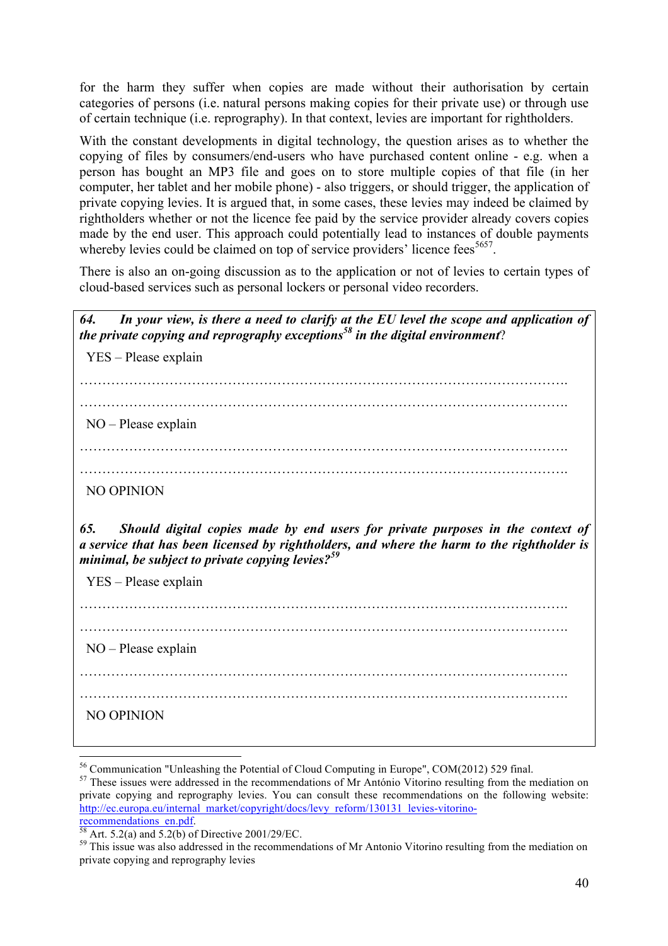for the harm they suffer when copies are made without their authorisation by certain categories of persons (i.e. natural persons making copies for their private use) or through use of certain technique (i.e. reprography). In that context, levies are important for rightholders.

With the constant developments in digital technology, the question arises as to whether the copying of files by consumers/end-users who have purchased content online - e.g. when a person has bought an MP3 file and goes on to store multiple copies of that file (in her computer, her tablet and her mobile phone) - also triggers, or should trigger, the application of private copying levies. It is argued that, in some cases, these levies may indeed be claimed by rightholders whether or not the licence fee paid by the service provider already covers copies made by the end user. This approach could potentially lead to instances of double payments whereby levies could be claimed on top of service providers' licence fees<sup>5657</sup>.

There is also an on-going discussion as to the application or not of levies to certain types of cloud-based services such as personal lockers or personal video recorders.

*64. In your view, is there a need to clarify at the EU level the scope and application of the private copying and reprography exceptions58 in the digital environment*?

YES – Please explain

……………………………………………………………………………………………….

……………………………………………………………………………………………….

NO – Please explain

……………………………………………………………………………………………….

……………………………………………………………………………………………….

NO OPINION

*65. Should digital copies made by end users for private purposes in the context of a service that has been licensed by rightholders, and where the harm to the rightholder is minimal, be subject to private copying levies?<sup>59</sup>*

YES – Please explain

……………………………………………………………………………………………….

……………………………………………………………………………………………….

NO – Please explain

………………………………………………………………………………………………. ……………………………………………………………………………………………….

NO OPINION

<sup>&</sup>lt;sup>56</sup> Communication "Unleashing the Potential of Cloud Computing in Europe", COM(2012) 529 final.<br><sup>57</sup> These issues were addressed in the recommendations of Mr António Vitorino resulting from the mediation on private copying and reprography levies. You can consult these recommendations on the following website: http://ec.europa.eu/internal\_market/copyright/docs/levy\_reform/130131\_levies-vitorino-<br>recommendations\_en.pdf.

 $\frac{58}{58}$  Art. 5.2(a) and 5.2(b) of Directive 2001/29/EC.  $\frac{59}{2}$  This issue was also addressed in the recommendations of Mr Antonio Vitorino resulting from the mediation on private copying and reprography levies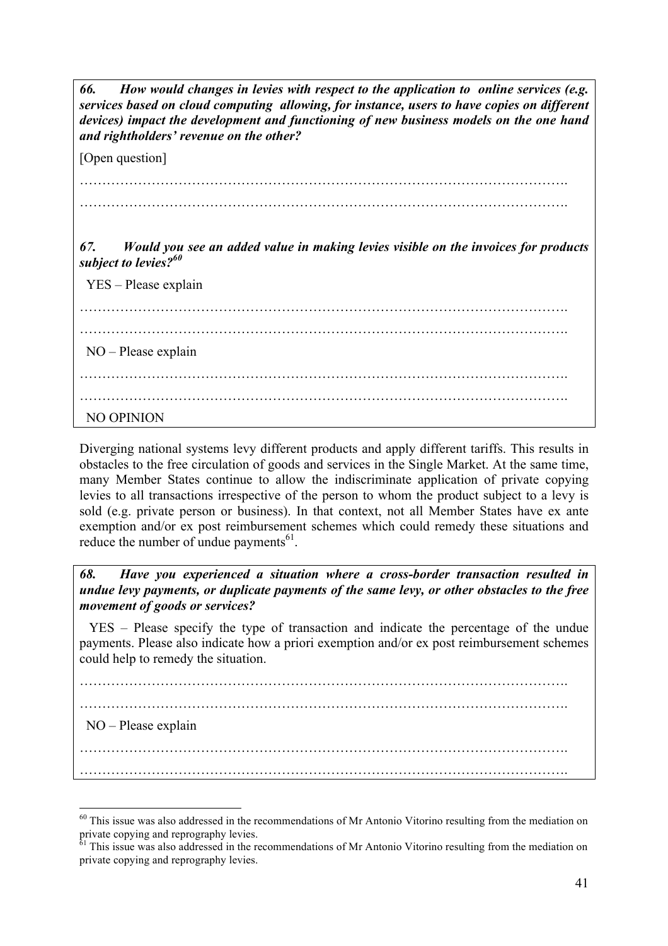*66. How would changes in levies with respect to the application to online services (e.g. services based on cloud computing allowing, for instance, users to have copies on different devices) impact the development and functioning of new business models on the one hand and rightholders' revenue on the other?* 

[Open question]

………………………………………………………………………………………………. ……………………………………………………………………………………………….

*67. Would you see an added value in making levies visible on the invoices for products subject to levies?60*

YES – Please explain

………………………………………………………………………………………………. ………………………………………………………………………………………………. NO – Please explain ………………………………………………………………………………………………. ………………………………………………………………………………………………. NO OPINION

Diverging national systems levy different products and apply different tariffs. This results in obstacles to the free circulation of goods and services in the Single Market. At the same time, many Member States continue to allow the indiscriminate application of private copying levies to all transactions irrespective of the person to whom the product subject to a levy is sold (e.g. private person or business). In that context, not all Member States have ex ante exemption and/or ex post reimbursement schemes which could remedy these situations and reduce the number of undue payments $^{61}$ .

*68. Have you experienced a situation where a cross-border transaction resulted in undue levy payments, or duplicate payments of the same levy, or other obstacles to the free movement of goods or services?* 

 YES – Please specify the type of transaction and indicate the percentage of the undue payments. Please also indicate how a priori exemption and/or ex post reimbursement schemes could help to remedy the situation.

………………………………………………………………………………………………. ………………………………………………………………………………………………. NO – Please explain ………………………………………………………………………………………………. ……………………………………………………………………………………………….

<sup>&</sup>lt;sup>60</sup> This issue was also addressed in the recommendations of Mr Antonio Vitorino resulting from the mediation on private copying and reprography levies.

This issue was also addressed in the recommendations of Mr Antonio Vitorino resulting from the mediation on private copying and reprography levies.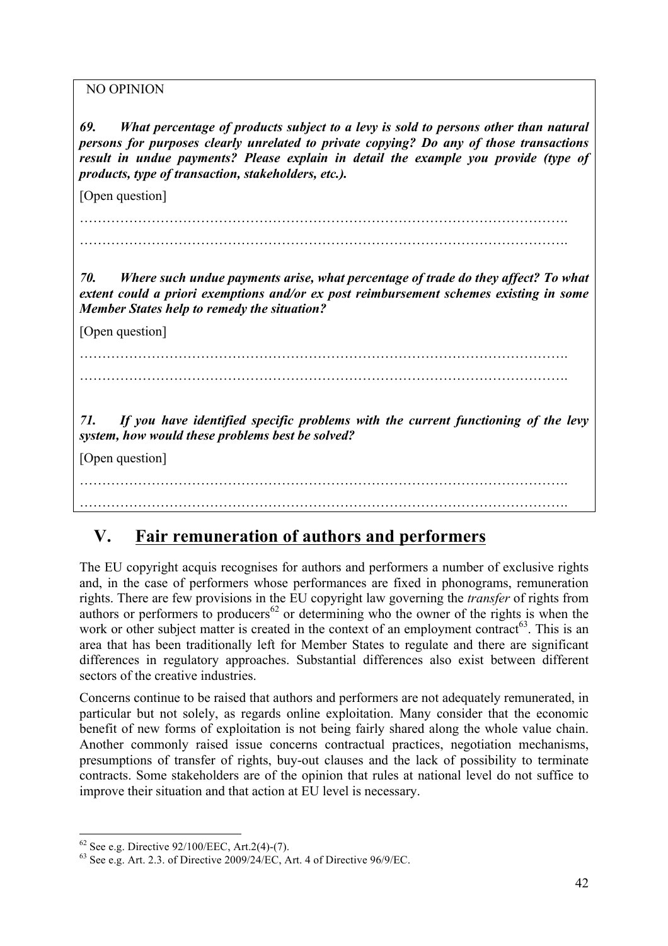NO OPINION

*69. What percentage of products subject to a levy is sold to persons other than natural persons for purposes clearly unrelated to private copying? Do any of those transactions result in undue payments? Please explain in detail the example you provide (type of products, type of transaction, stakeholders, etc.).*

[Open question]

………………………………………………………………………………………………. ……………………………………………………………………………………………….

*70. Where such undue payments arise, what percentage of trade do they affect? To what extent could a priori exemptions and/or ex post reimbursement schemes existing in some Member States help to remedy the situation?* 

[Open question]

………………………………………………………………………………………………. ……………………………………………………………………………………………….

*71. If you have identified specific problems with the current functioning of the levy system, how would these problems best be solved?*

[Open question]

………………………………………………………………………………………………. ……………………………………………………………………………………………….

# **V. Fair remuneration of authors and performers**

The EU copyright acquis recognises for authors and performers a number of exclusive rights and, in the case of performers whose performances are fixed in phonograms, remuneration rights. There are few provisions in the EU copyright law governing the *transfer* of rights from authors or performers to producers<sup>62</sup> or determining who the owner of the rights is when the work or other subject matter is created in the context of an employment contract<sup>63</sup>. This is an area that has been traditionally left for Member States to regulate and there are significant differences in regulatory approaches. Substantial differences also exist between different sectors of the creative industries.

Concerns continue to be raised that authors and performers are not adequately remunerated, in particular but not solely, as regards online exploitation. Many consider that the economic benefit of new forms of exploitation is not being fairly shared along the whole value chain. Another commonly raised issue concerns contractual practices, negotiation mechanisms, presumptions of transfer of rights, buy-out clauses and the lack of possibility to terminate contracts. Some stakeholders are of the opinion that rules at national level do not suffice to improve their situation and that action at EU level is necessary.

<sup>&</sup>lt;sup>62</sup> See e.g. Directive 92/100/EEC, Art.2(4)-(7).<br><sup>63</sup> See e.g. Art. 2.3. of Directive 2009/24/EC, Art. 4 of Directive 96/9/EC.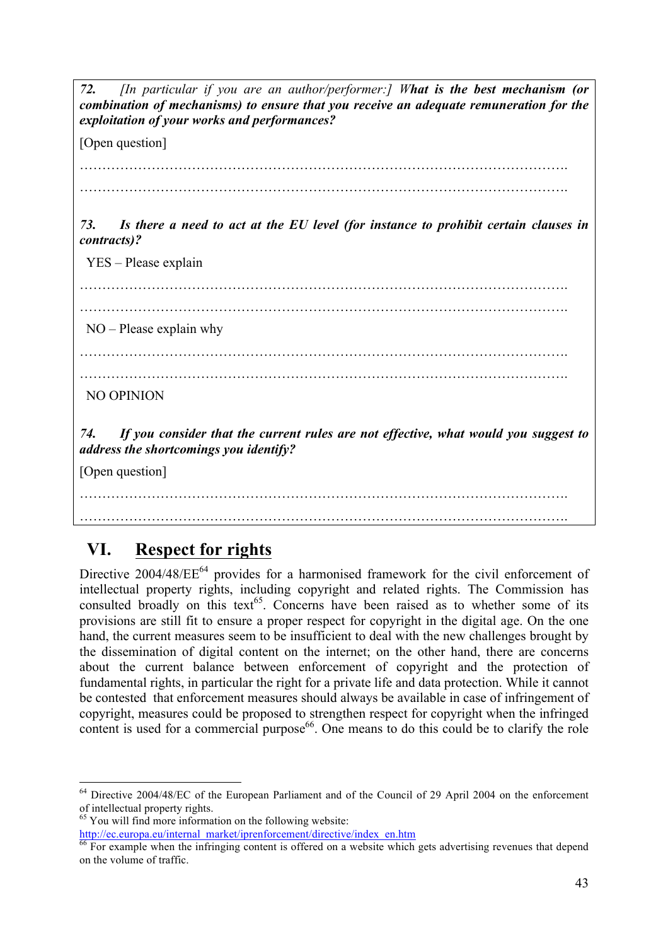*72. [In particular if you are an author/performer:] What is the best mechanism (or combination of mechanisms) to ensure that you receive an adequate remuneration for the exploitation of your works and performances?*

[Open question]

………………………………………………………………………………………………. ……………………………………………………………………………………………….

*73. Is there a need to act at the EU level (for instance to prohibit certain clauses in contracts)?* 

YES – Please explain

………………………………………………………………………………………………. ………………………………………………………………………………………………. NO – Please explain why ………………………………………………………………………………………………. ………………………………………………………………………………………………. NO OPINION *74. If you consider that the current rules are not effective, what would you suggest to address the shortcomings you identify?* [Open question]

## ……………………………………………………………………………………………….

# **VI. Respect for rights**

Directive 2004/48/EE<sup>64</sup> provides for a harmonised framework for the civil enforcement of intellectual property rights, including copyright and related rights. The Commission has consulted broadly on this text<sup>65</sup>. Concerns have been raised as to whether some of its provisions are still fit to ensure a proper respect for copyright in the digital age. On the one hand, the current measures seem to be insufficient to deal with the new challenges brought by the dissemination of digital content on the internet; on the other hand, there are concerns about the current balance between enforcement of copyright and the protection of fundamental rights, in particular the right for a private life and data protection. While it cannot be contested that enforcement measures should always be available in case of infringement of copyright, measures could be proposed to strengthen respect for copyright when the infringed content is used for a commercial purpose<sup>66</sup>. One means to do this could be to clarify the role

 $65$  You will find more information on the following website:

http://ec.europa.eu/internal\_market/iprenforcement/directive/index\_en.htm

 $64$  Directive 2004/48/EC of the European Parliament and of the Council of 29 April 2004 on the enforcement of intellectual property rights.

For example when the infringing content is offered on a website which gets advertising revenues that depend on the volume of traffic.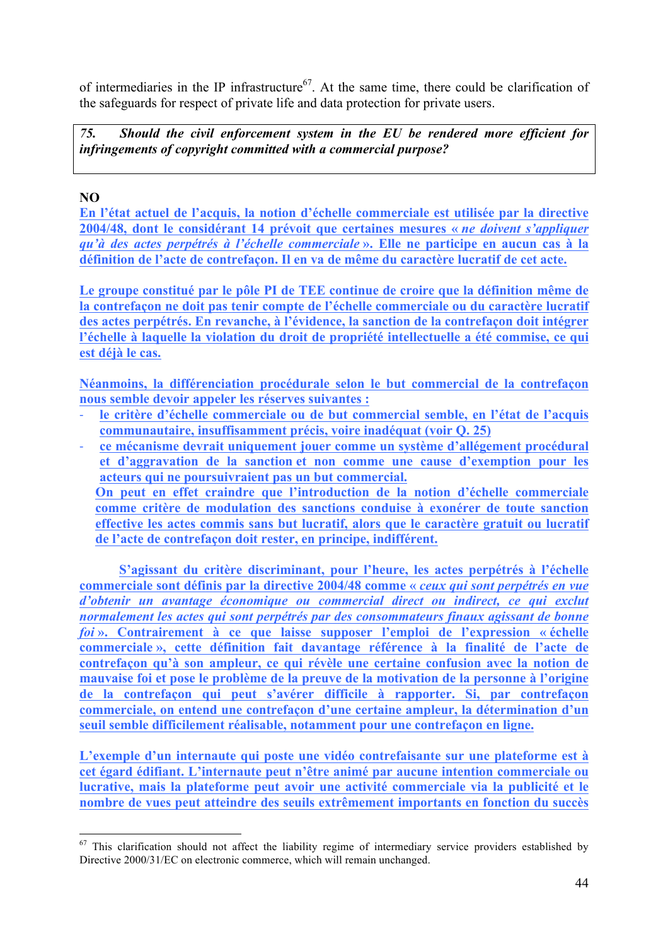of intermediaries in the IP infrastructure<sup>67</sup>. At the same time, there could be clarification of the safeguards for respect of private life and data protection for private users.

*75. Should the civil enforcement system in the EU be rendered more efficient for infringements of copyright committed with a commercial purpose?*

## **NO**

**En l'état actuel de l'acquis, la notion d'échelle commerciale est utilisée par la directive 2004/48, dont le considérant 14 prévoit que certaines mesures «** *ne doivent s'appliquer qu'à des actes perpétrés à l'échelle commerciale* **». Elle ne participe en aucun cas à la définition de l'acte de contrefaçon. Il en va de même du caractère lucratif de cet acte.** 

**Le groupe constitué par le pôle PI de TEE continue de croire que la définition même de la contrefaçon ne doit pas tenir compte de l'échelle commerciale ou du caractère lucratif des actes perpétrés. En revanche, à l'évidence, la sanction de la contrefaçon doit intégrer l'échelle à laquelle la violation du droit de propriété intellectuelle a été commise, ce qui est déjà le cas.**

**Néanmoins, la différenciation procédurale selon le but commercial de la contrefaçon nous semble devoir appeler les réserves suivantes :** 

- ! **le critère d'échelle commerciale ou de but commercial semble, en l'état de l'acquis communautaire, insuffisamment précis, voire inadéquat (voir Q. 25)**
- ! **ce mécanisme devrait uniquement jouer comme un système d'allégement procédural et d'aggravation de la sanction et non comme une cause d'exemption pour les acteurs qui ne poursuivraient pas un but commercial.**

**On peut en effet craindre que l'introduction de la notion d'échelle commerciale comme critère de modulation des sanctions conduise à exonérer de toute sanction effective les actes commis sans but lucratif, alors que le caractère gratuit ou lucratif de l'acte de contrefaçon doit rester, en principe, indifférent.** 

**S'agissant du critère discriminant, pour l'heure, les actes perpétrés à l'échelle commerciale sont définis par la directive 2004/48 comme «** *ceux qui sont perpétrés en vue d'obtenir un avantage économique ou commercial direct ou indirect, ce qui exclut normalement les actes qui sont perpétrés par des consommateurs finaux agissant de bonne foi* **». Contrairement à ce que laisse supposer l'emploi de l'expression « échelle commerciale », cette définition fait davantage référence à la finalité de l'acte de contrefaçon qu'à son ampleur, ce qui révèle une certaine confusion avec la notion de mauvaise foi et pose le problème de la preuve de la motivation de la personne à l'origine de la contrefaçon qui peut s'avérer difficile à rapporter. Si, par contrefaçon commerciale, on entend une contrefaçon d'une certaine ampleur, la détermination d'un seuil semble difficilement réalisable, notamment pour une contrefaçon en ligne.** 

**L'exemple d'un internaute qui poste une vidéo contrefaisante sur une plateforme est à cet égard édifiant. L'internaute peut n'être animé par aucune intention commerciale ou lucrative, mais la plateforme peut avoir une activité commerciale via la publicité et le nombre de vues peut atteindre des seuils extrêmement importants en fonction du succès** 

<sup>&</sup>lt;sup>67</sup> This clarification should not affect the liability regime of intermediary service providers established by Directive 2000/31/EC on electronic commerce, which will remain unchanged.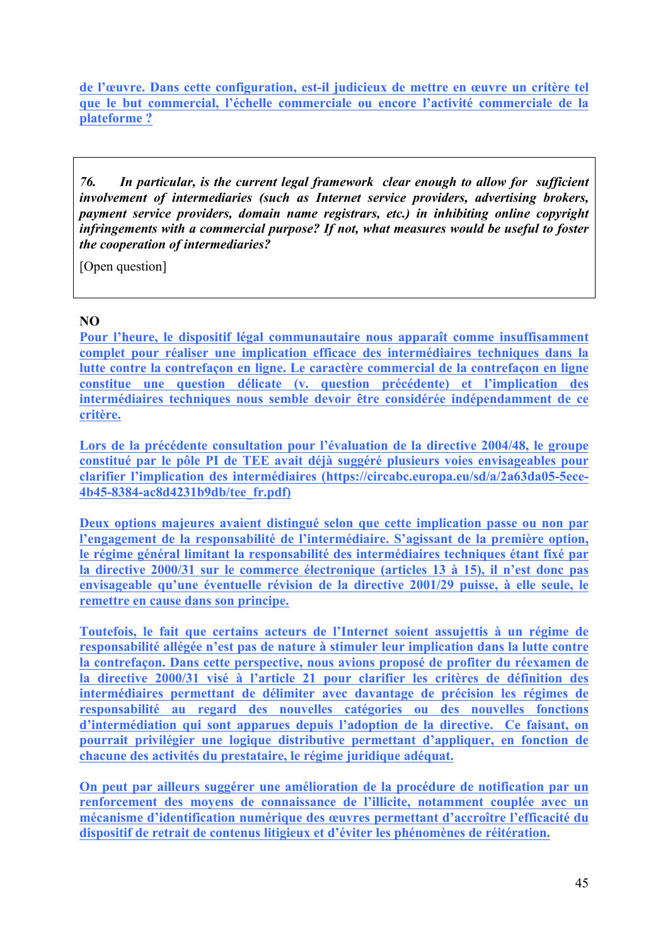**de l'œuvre. Dans cette configuration, est-il judicieux de mettre en œuvre un critère tel que le but commercial, l'échelle commerciale ou encore l'activité commerciale de la plateforme ?** 

*76. In particular, is the current legal framework clear enough to allow for sufficient involvement of intermediaries (such as Internet service providers, advertising brokers, payment service providers, domain name registrars, etc.) in inhibiting online copyright infringements with a commercial purpose? If not, what measures would be useful to foster the cooperation of intermediaries?*

[Open question]

#### **NO**

**Pour l'heure, le dispositif légal communautaire nous apparaît comme insuffisamment complet pour réaliser une implication efficace des intermédiaires techniques dans la lutte contre la contrefaçon en ligne. Le caractère commercial de la contrefaçon en ligne constitue une question délicate (v. question précédente) et l'implication des intermédiaires techniques nous semble devoir être considérée indépendamment de ce critère.** 

Lors de la précédente consultation pour l'évaluation de la directive 2004/48, le groupe **constitué par le pôle PI de TEE avait déjà suggéré plusieurs voies envisageables pour clarifier l'implication des intermédiaires (https://circabc.europa.eu/sd/a/2a63da05-5ece-4b45-8384-ac8d4231b9db/tee\_fr.pdf)**

**Deux options majeures avaient distingué selon que cette implication passe ou non par l'engagement de la responsabilité de l'intermédiaire. S'agissant de la première option, le régime général limitant la responsabilité des intermédiaires techniques étant fixé par la directive 2000/31 sur le commerce électronique (articles 13 à 15), il n'est donc pas envisageable qu'une éventuelle révision de la directive 2001/29 puisse, à elle seule, le remettre en cause dans son principe.** 

**Toutefois, le fait que certains acteurs de l'Internet soient assujettis à un régime de responsabilité allégée n'est pas de nature à stimuler leur implication dans la lutte contre la contrefaçon. Dans cette perspective, nous avions proposé de profiter du réexamen de la directive 2000/31 visé à l'article 21 pour clarifier les critères de définition des intermédiaires permettant de délimiter avec davantage de précision les régimes de responsabilité au regard des nouvelles catégories ou des nouvelles fonctions d'intermédiation qui sont apparues depuis l'adoption de la directive. Ce faisant, on pourrait privilégier une logique distributive permettant d'appliquer, en fonction de chacune des activités du prestataire, le régime juridique adéquat.** 

**On peut par ailleurs suggérer une amélioration de la procédure de notification par un renforcement des moyens de connaissance de l'illicite, notamment couplée avec un mécanisme d'identification numérique des œuvres permettant d'accroître l'efficacité du dispositif de retrait de contenus litigieux et d'éviter les phénomènes de réitération.**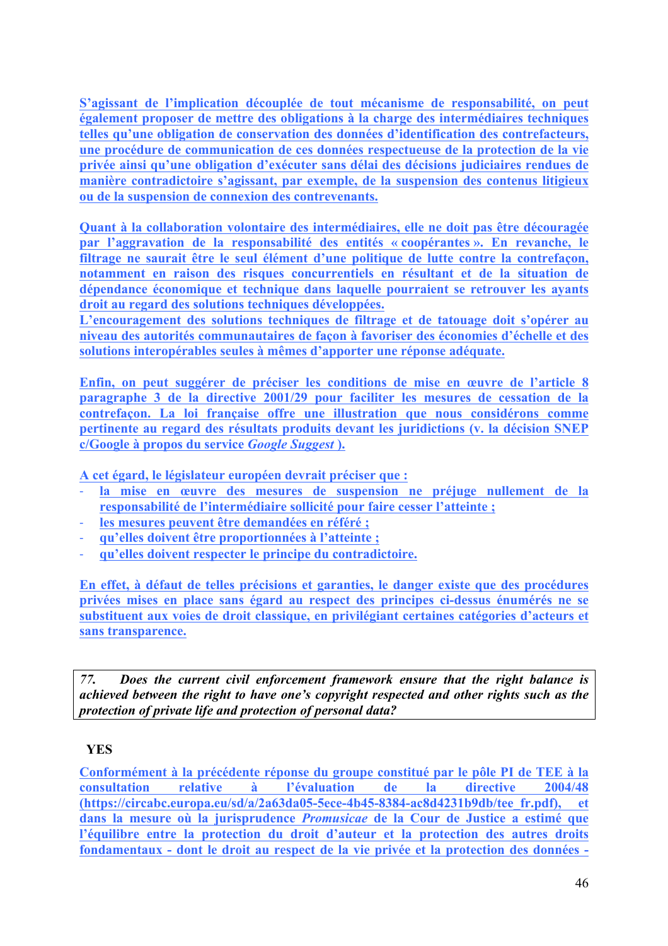**S'agissant de l'implication découplée de tout mécanisme de responsabilité, on peut également proposer de mettre des obligations à la charge des intermédiaires techniques telles qu'une obligation de conservation des données d'identification des contrefacteurs, une procédure de communication de ces données respectueuse de la protection de la vie privée ainsi qu'une obligation d'exécuter sans délai des décisions judiciaires rendues de manière contradictoire s'agissant, par exemple, de la suspension des contenus litigieux ou de la suspension de connexion des contrevenants.**

**Quant à la collaboration volontaire des intermédiaires, elle ne doit pas être découragée par l'aggravation de la responsabilité des entités « coopérantes ». En revanche, le filtrage ne saurait être le seul élément d'une politique de lutte contre la contrefaçon, notamment en raison des risques concurrentiels en résultant et de la situation de dépendance économique et technique dans laquelle pourraient se retrouver les ayants droit au regard des solutions techniques développées.** 

**L'encouragement des solutions techniques de filtrage et de tatouage doit s'opérer au niveau des autorités communautaires de façon à favoriser des économies d'échelle et des solutions interopérables seules à mêmes d'apporter une réponse adéquate.** 

**Enfin, on peut suggérer de préciser les conditions de mise en œuvre de l'article 8 paragraphe 3 de la directive 2001/29 pour faciliter les mesures de cessation de la contrefaçon. La loi française offre une illustration que nous considérons comme pertinente au regard des résultats produits devant les juridictions (v. la décision SNEP c/Google à propos du service** *Google Suggest* **).** 

**A cet égard, le législateur européen devrait préciser que :**

- ! **la mise en œuvre des mesures de suspension ne préjuge nullement de la responsabilité de l'intermédiaire sollicité pour faire cesser l'atteinte ;**
- ! **les mesures peuvent être demandées en référé ;**
- ! **qu'elles doivent être proportionnées à l'atteinte ;**
- ! **qu'elles doivent respecter le principe du contradictoire.**

**En effet, à défaut de telles précisions et garanties, le danger existe que des procédures privées mises en place sans égard au respect des principes ci-dessus énumérés ne se substituent aux voies de droit classique, en privilégiant certaines catégories d'acteurs et sans transparence.** 

*77. Does the current civil enforcement framework ensure that the right balance is achieved between the right to have one's copyright respected and other rights such as the protection of private life and protection of personal data?*

#### **YES**

**Conformément à la précédente réponse du groupe constitué par le pôle PI de TEE à la consultation relative à l'évaluation de la directive 2004/48 (https://circabc.europa.eu/sd/a/2a63da05-5ece-4b45-8384-ac8d4231b9db/tee\_fr.pdf), et dans la mesure où la jurisprudence** *Promusicae* **de la Cour de Justice a estimé que l'équilibre entre la protection du droit d'auteur et la protection des autres droits fondamentaux - dont le droit au respect de la vie privée et la protection des données -**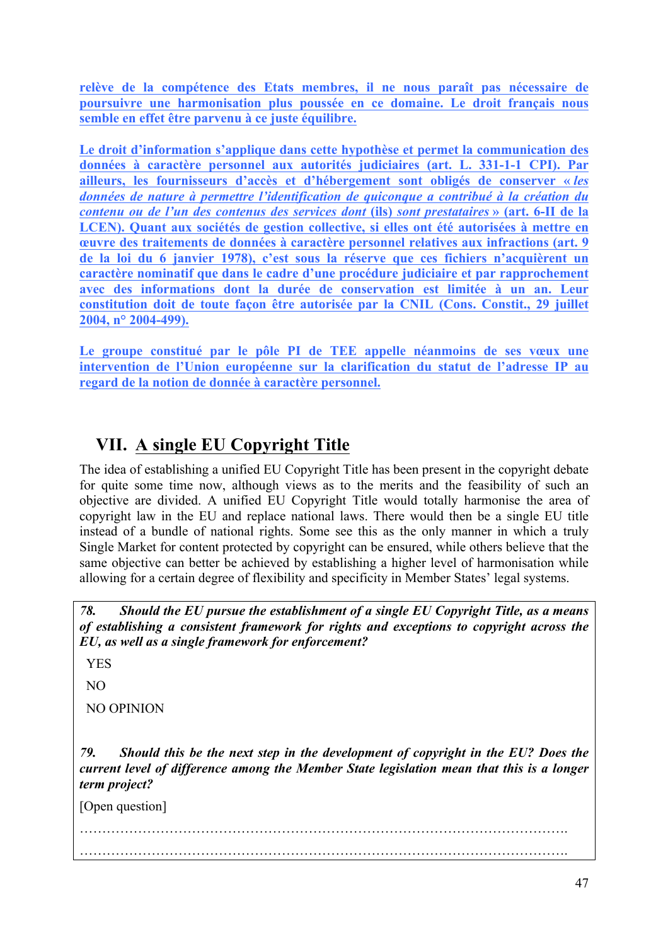**relève de la compétence des Etats membres, il ne nous paraît pas nécessaire de poursuivre une harmonisation plus poussée en ce domaine. Le droit français nous semble en effet être parvenu à ce juste équilibre.** 

**Le droit d'information s'applique dans cette hypothèse et permet la communication des données à caractère personnel aux autorités judiciaires (art. L. 331-1-1 CPI). Par ailleurs, les fournisseurs d'accès et d'hébergement sont obligés de conserver «** *les données de nature à permettre l'identification de quiconque a contribué à la création du contenu ou de l'un des contenus des services dont* **(ils)** *sont prestataires* **» (art. 6-II de la LCEN). Quant aux sociétés de gestion collective, si elles ont été autorisées à mettre en œuvre des traitements de données à caractère personnel relatives aux infractions (art. 9 de la loi du 6 janvier 1978), c'est sous la réserve que ces fichiers n'acquièrent un caractère nominatif que dans le cadre d'une procédure judiciaire et par rapprochement avec des informations dont la durée de conservation est limitée à un an. Leur constitution doit de toute façon être autorisée par la CNIL (Cons. Constit., 29 juillet 2004, n° 2004-499).**

**Le groupe constitué par le pôle PI de TEE appelle néanmoins de ses vœux une intervention de l'Union européenne sur la clarification du statut de l'adresse IP au regard de la notion de donnée à caractère personnel.** 

# **VII. A single EU Copyright Title**

The idea of establishing a unified EU Copyright Title has been present in the copyright debate for quite some time now, although views as to the merits and the feasibility of such an objective are divided. A unified EU Copyright Title would totally harmonise the area of copyright law in the EU and replace national laws. There would then be a single EU title instead of a bundle of national rights. Some see this as the only manner in which a truly Single Market for content protected by copyright can be ensured, while others believe that the same objective can better be achieved by establishing a higher level of harmonisation while allowing for a certain degree of flexibility and specificity in Member States' legal systems.

*78. Should the EU pursue the establishment of a single EU Copyright Title, as a means of establishing a consistent framework for rights and exceptions to copyright across the EU, as well as a single framework for enforcement?* 

YES

NO

NO OPINION

*79. Should this be the next step in the development of copyright in the EU? Does the current level of difference among the Member State legislation mean that this is a longer term project?*

[Open question]

………………………………………………………………………………………………. ……………………………………………………………………………………………….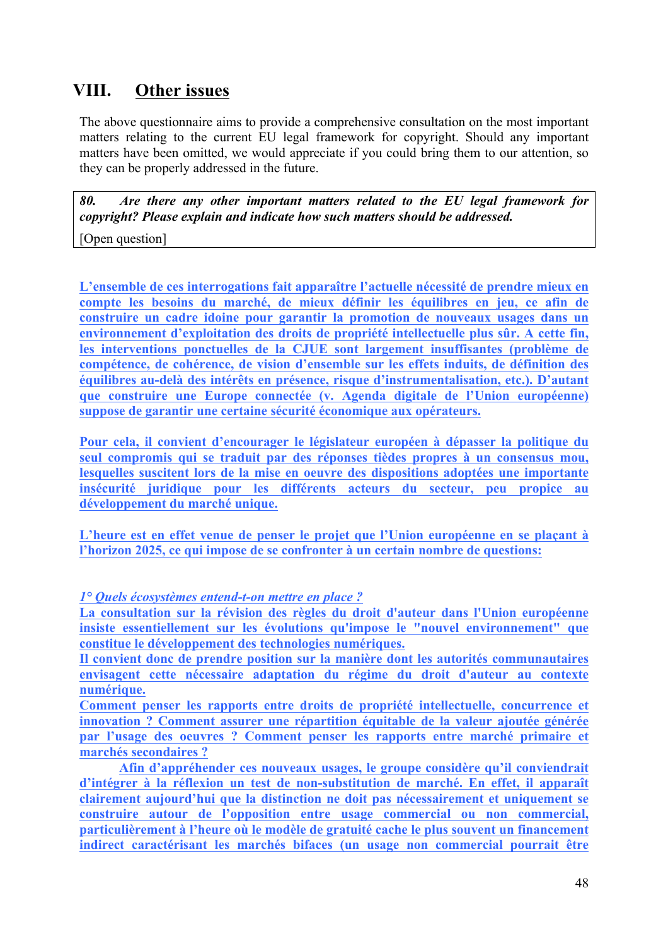# **VIII. Other issues**

The above questionnaire aims to provide a comprehensive consultation on the most important matters relating to the current EU legal framework for copyright. Should any important matters have been omitted, we would appreciate if you could bring them to our attention, so they can be properly addressed in the future.

*80. Are there any other important matters related to the EU legal framework for copyright? Please explain and indicate how such matters should be addressed.*

[Open question]

**L'ensemble de ces interrogations fait apparaître l'actuelle nécessité de prendre mieux en compte les besoins du marché, de mieux définir les équilibres en jeu, ce afin de construire un cadre idoine pour garantir la promotion de nouveaux usages dans un environnement d'exploitation des droits de propriété intellectuelle plus sûr. A cette fin, les interventions ponctuelles de la CJUE sont largement insuffisantes (problème de compétence, de cohérence, de vision d'ensemble sur les effets induits, de définition des équilibres au-delà des intérêts en présence, risque d'instrumentalisation, etc.). D'autant que construire une Europe connectée (v. Agenda digitale de l'Union européenne) suppose de garantir une certaine sécurité économique aux opérateurs.**

**Pour cela, il convient d'encourager le législateur européen à dépasser la politique du seul compromis qui se traduit par des réponses tièdes propres à un consensus mou, lesquelles suscitent lors de la mise en oeuvre des dispositions adoptées une importante insécurité juridique pour les différents acteurs du secteur, peu propice au développement du marché unique.** 

**L'heure est en effet venue de penser le projet que l'Union européenne en se plaçant à l'horizon 2025, ce qui impose de se confronter à un certain nombre de questions:**

*1° Quels écosystèmes entend-t-on mettre en place ?*

**La consultation sur la révision des règles du droit d'auteur dans l'Union européenne insiste essentiellement sur les évolutions qu'impose le "nouvel environnement" que constitue le développement des technologies numériques.**

**Il convient donc de prendre position sur la manière dont les autorités communautaires envisagent cette nécessaire adaptation du régime du droit d'auteur au contexte numérique.**

**Comment penser les rapports entre droits de propriété intellectuelle, concurrence et innovation ? Comment assurer une répartition équitable de la valeur ajoutée générée par l'usage des oeuvres ? Comment penser les rapports entre marché primaire et marchés secondaires ?** 

**Afin d'appréhender ces nouveaux usages, le groupe considère qu'il conviendrait d'intégrer à la réflexion un test de non-substitution de marché. En effet, il apparaît clairement aujourd'hui que la distinction ne doit pas nécessairement et uniquement se construire autour de l'opposition entre usage commercial ou non commercial, particulièrement à l'heure où le modèle de gratuité cache le plus souvent un financement indirect caractérisant les marchés bifaces (un usage non commercial pourrait être**